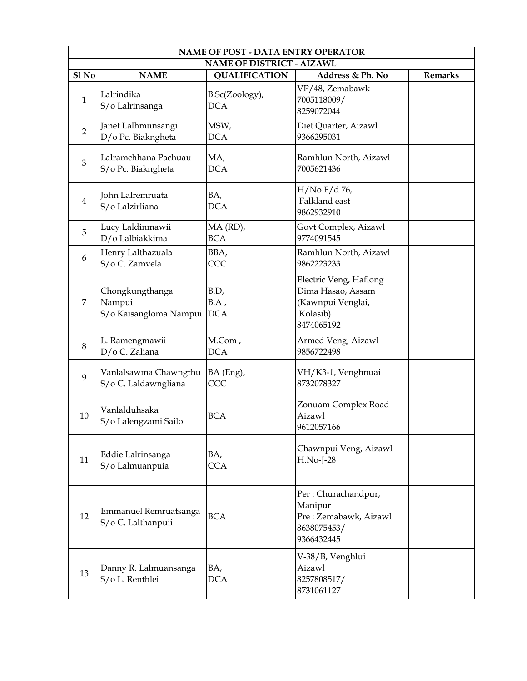|                  | <b>NAME OF POST - DATA ENTRY OPERATOR</b>           |                                                          |                                                                                            |                |  |
|------------------|-----------------------------------------------------|----------------------------------------------------------|--------------------------------------------------------------------------------------------|----------------|--|
| Sl <sub>No</sub> | <b>NAME</b>                                         | <b>NAME OF DISTRICT - AIZAWL</b><br><b>QUALIFICATION</b> | Address & Ph. No                                                                           | <b>Remarks</b> |  |
| $\mathbf{1}$     | Lalrindika<br>S/o Lalrinsanga                       | B.Sc(Zoology),<br><b>DCA</b>                             | VP/48, Zemabawk<br>7005118009/<br>8259072044                                               |                |  |
| $\overline{2}$   | Janet Lalhmunsangi<br>D/o Pc. Biakngheta            | MSW,<br><b>DCA</b>                                       | Diet Quarter, Aizawl<br>9366295031                                                         |                |  |
| 3                | Lalramchhana Pachuau<br>S/o Pc. Biakngheta          | MA,<br><b>DCA</b>                                        | Ramhlun North, Aizawl<br>7005621436                                                        |                |  |
| $\overline{4}$   | John Lalremruata<br>S/o Lalzirliana                 | BA,<br><b>DCA</b>                                        | $H/No F/d 76$ ,<br>Falkland east<br>9862932910                                             |                |  |
| 5                | Lucy Laldinmawii<br>D/o Lalbiakkima                 | MA (RD),<br><b>BCA</b>                                   | Govt Complex, Aizawl<br>9774091545                                                         |                |  |
| 6                | Henry Lalthazuala<br>S/o C. Zamvela                 | BBA,<br>CCC                                              | Ramhlun North, Aizawl<br>9862223233                                                        |                |  |
| 7                | Chongkungthanga<br>Nampui<br>S/o Kaisangloma Nampui | B.D,<br>BA,<br><b>DCA</b>                                | Electric Veng, Haflong<br>Dima Hasao, Assam<br>(Kawnpui Venglai,<br>Kolasib)<br>8474065192 |                |  |
| 8                | L. Ramengmawii<br>D/o C. Zaliana                    | M.Com,<br><b>DCA</b>                                     | Armed Veng, Aizawl<br>9856722498                                                           |                |  |
| 9                | Vanlalsawma Chawngthu<br>S/o C. Laldawngliana       | BA (Eng),<br>CCC                                         | VH/K3-1, Venghnuai<br>8732078327                                                           |                |  |
| 10               | Vanlalduhsaka<br>S/o Lalengzami Sailo               | <b>BCA</b>                                               | Zonuam Complex Road<br>Aizawl<br>9612057166                                                |                |  |
| 11               | Eddie Lalrinsanga<br>S/o Lalmuanpuia                | BA,<br><b>CCA</b>                                        | Chawnpui Veng, Aizawl<br>H.No-J-28                                                         |                |  |
| 12               | Emmanuel Remruatsanga<br>S/o C. Lalthanpuii         | <b>BCA</b>                                               | Per: Churachandpur,<br>Manipur<br>Pre: Zemabawk, Aizawl<br>8638075453/<br>9366432445       |                |  |
| 13               | Danny R. Lalmuansanga<br>S/o L. Renthlei            | BA,<br><b>DCA</b>                                        | V-38/B, Venghlui<br>Aizawl<br>8257808517/<br>8731061127                                    |                |  |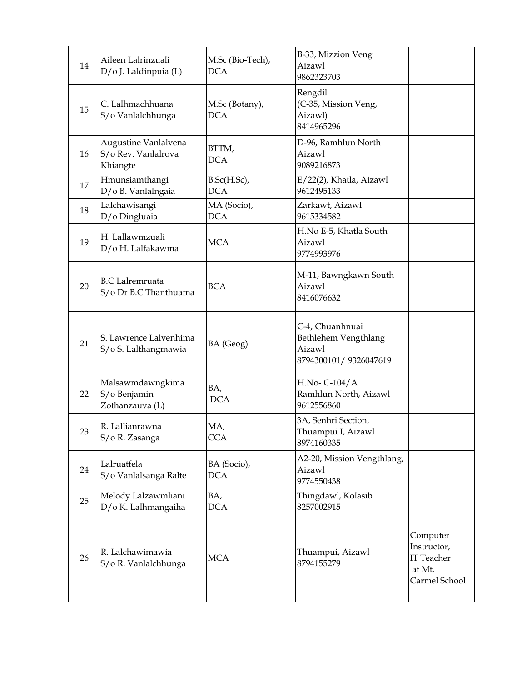| 14 | Aileen Lalrinzuali<br>D/o J. Laldinpuia (L)             | M.Sc (Bio-Tech),<br><b>DCA</b> | B-33, Mizzion Veng<br>Aizawl<br>9862323703                                 |                                                                         |
|----|---------------------------------------------------------|--------------------------------|----------------------------------------------------------------------------|-------------------------------------------------------------------------|
| 15 | C. Lalhmachhuana<br>S/o Vanlalchhunga                   | M.Sc (Botany),<br><b>DCA</b>   | Rengdil<br>(C-35, Mission Veng,<br>Aizawl)<br>8414965296                   |                                                                         |
| 16 | Augustine Vanlalvena<br>S/o Rev. Vanlalrova<br>Khiangte | BTTM,<br><b>DCA</b>            | D-96, Ramhlun North<br>Aizawl<br>9089216873                                |                                                                         |
| 17 | Hmunsiamthangi<br>D/o B. Vanlalngaia                    | B.Sc(H.Sc),<br><b>DCA</b>      | E/22(2), Khatla, Aizawl<br>9612495133                                      |                                                                         |
| 18 | Lalchawisangi<br>D/o Dingluaia                          | MA (Socio),<br><b>DCA</b>      | Zarkawt, Aizawl<br>9615334582                                              |                                                                         |
| 19 | H. Lallawmzuali<br>D/o H. Lalfakawma                    | <b>MCA</b>                     | H.No E-5, Khatla South<br>Aizawl<br>9774993976                             |                                                                         |
| 20 | <b>B.C</b> Lalremruata<br>S/o Dr B.C Thanthuama         | <b>BCA</b>                     | M-11, Bawngkawn South<br>Aizawl<br>8416076632                              |                                                                         |
| 21 | S. Lawrence Lalvenhima<br>S/o S. Lalthangmawia          | BA (Geog)                      | C-4, Chuanhnuai<br>Bethlehem Vengthlang<br>Aizawl<br>8794300101/9326047619 |                                                                         |
| 22 | Malsawmdawngkima<br>S/o Benjamin<br>Zothanzauva (L)     | BA,<br><b>DCA</b>              | H.No- C-104/A<br>Ramhlun North, Aizawl<br>9612556860                       |                                                                         |
| 23 | R. Lallianrawna<br>S/o R. Zasanga                       | MA,<br><b>CCA</b>              | 3A, Senhri Section,<br>Thuampui I, Aizawl<br>8974160335                    |                                                                         |
| 24 | Lalruatfela<br>S/o Vanlalsanga Ralte                    | BA (Socio),<br><b>DCA</b>      | A2-20, Mission Vengthlang,<br>Aizawl<br>9774550438                         |                                                                         |
| 25 | Melody Lalzawmliani<br>D/o K. Lalhmangaiha              | BA,<br><b>DCA</b>              | Thingdawl, Kolasib<br>8257002915                                           |                                                                         |
| 26 | R. Lalchawimawia<br>S/o R. Vanlalchhunga                | <b>MCA</b>                     | Thuampui, Aizawl<br>8794155279                                             | Computer<br>Instructor,<br><b>IT Teacher</b><br>at Mt.<br>Carmel School |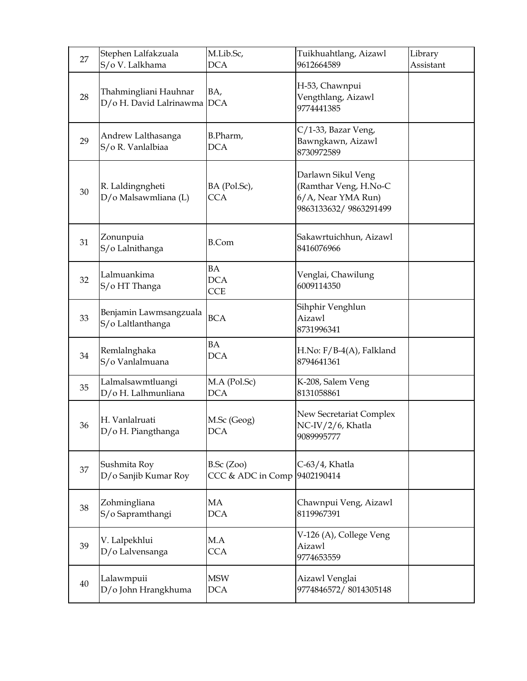| 27 | Stephen Lalfakzuala<br>S/o V. Lalkhama               | M.Lib.Sc,<br><b>DCA</b>                    | Tuikhuahtlang, Aizawl<br>9612664589                                                        | Library<br>Assistant |
|----|------------------------------------------------------|--------------------------------------------|--------------------------------------------------------------------------------------------|----------------------|
| 28 | Thahmingliani Hauhnar<br>D/o H. David Lalrinawma DCA | BA,                                        | H-53, Chawnpui<br>Vengthlang, Aizawl<br>9774441385                                         |                      |
| 29 | Andrew Lalthasanga<br>S/o R. Vanlalbiaa              | B.Pharm,<br><b>DCA</b>                     | C/1-33, Bazar Veng,<br>Bawngkawn, Aizawl<br>8730972589                                     |                      |
| 30 | R. Laldingngheti<br>D/o Malsawmliana (L)             | BA (Pol.Sc),<br><b>CCA</b>                 | Darlawn Sikul Veng<br>(Ramthar Veng, H.No-C<br>6/A, Near YMA Run)<br>9863133632/9863291499 |                      |
| 31 | Zonunpuia<br>S/o Lalnithanga                         | <b>B.Com</b>                               | Sakawrtuichhun, Aizawl<br>8416076966                                                       |                      |
| 32 | Lalmuankima<br>S/o HT Thanga                         | BA<br><b>DCA</b><br><b>CCE</b>             | Venglai, Chawilung<br>6009114350                                                           |                      |
| 33 | Benjamin Lawmsangzuala<br>S/o Laltlanthanga          | <b>BCA</b>                                 | Sihphir Venghlun<br>Aizawl<br>8731996341                                                   |                      |
| 34 | Remlalnghaka<br>S/o Vanlalmuana                      | BA<br><b>DCA</b>                           | H.No: F/B-4(A), Falkland<br>8794641361                                                     |                      |
| 35 | Lalmalsawmtluangi<br>D/o H. Lalhmunliana             | M.A (Pol.Sc)<br><b>DCA</b>                 | K-208, Salem Veng<br>8131058861                                                            |                      |
| 36 | H. Vanlalruati<br>D/o H. Piangthanga                 | M.Sc (Geog)<br><b>DCA</b>                  | New Secretariat Complex<br>NC-IV/2/6, Khatla<br>9089995777                                 |                      |
| 37 | Sushmita Roy<br>D/o Sanjib Kumar Roy                 | B.Sc (Zoo)<br>CCC & ADC in Comp 9402190414 | C-63/4, Khatla                                                                             |                      |
| 38 | Zohmingliana<br>S/o Sapramthangi                     | MA<br><b>DCA</b>                           | Chawnpui Veng, Aizawl<br>8119967391                                                        |                      |
| 39 | V. Lalpekhlui<br>D/o Lalvensanga                     | MA<br><b>CCA</b>                           | V-126 (A), College Veng<br>Aizawl<br>9774653559                                            |                      |
| 40 | Lalawmpuii<br>D/o John Hrangkhuma                    | <b>MSW</b><br><b>DCA</b>                   | Aizawl Venglai<br>9774846572/8014305148                                                    |                      |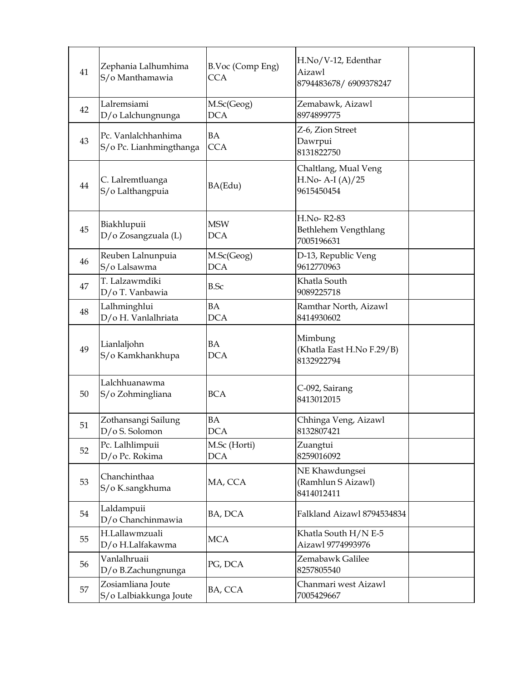| 41 | Zephania Lalhumhima<br>S/o Manthamawia         | B.Voc (Comp Eng)<br><b>CCA</b> | H.No/V-12, Edenthar<br>Aizawl<br>8794483678/6909378247  |  |
|----|------------------------------------------------|--------------------------------|---------------------------------------------------------|--|
| 42 | Lalremsiami<br>D/o Lalchungnunga               | M.Sc(Geog)<br><b>DCA</b>       | Zemabawk, Aizawl<br>8974899775                          |  |
| 43 | Pc. Vanlalchhanhima<br>S/o Pc. Lianhmingthanga | BA<br><b>CCA</b>               | Z-6, Zion Street<br>Dawrpui<br>8131822750               |  |
| 44 | C. Lalremtluanga<br>S/o Lalthangpuia           | BA(Edu)                        | Chaltlang, Mual Veng<br>H.No-A-I $(A)/25$<br>9615450454 |  |
| 45 | Biakhlupuii<br>D/o Zosangzuala (L)             | <b>MSW</b><br><b>DCA</b>       | H.No-R2-83<br>Bethlehem Vengthlang<br>7005196631        |  |
| 46 | Reuben Lalnunpuia<br>S/o Lalsawma              | M.Sc(Geog)<br><b>DCA</b>       | D-13, Republic Veng<br>9612770963                       |  |
| 47 | T. Lalzawmdiki<br>D/o T. Vanbawia              | <b>B.Sc</b>                    | Khatla South<br>9089225718                              |  |
| 48 | Lalhminghlui<br>D/o H. Vanlalhriata            | <b>BA</b><br><b>DCA</b>        | Ramthar North, Aizawl<br>8414930602                     |  |
| 49 | Lianlaljohn<br>S/o Kamkhankhupa                | <b>BA</b><br><b>DCA</b>        | Mimbung<br>(Khatla East H.No F.29/B)<br>8132922794      |  |
| 50 | Lalchhuanawma<br>S/o Zohmingliana              | <b>BCA</b>                     | C-092, Sairang<br>8413012015                            |  |
| 51 | Zothansangi Sailung<br>D/o S. Solomon          | <b>BA</b><br><b>DCA</b>        | Chhinga Veng, Aizawl<br>8132807421                      |  |
| 52 | Pc. Lalhlimpuii<br>D/o Pc. Rokima              | M.Sc (Horti)<br><b>DCA</b>     | Zuangtui<br>8259016092                                  |  |
| 53 | Chanchinthaa<br>S/o K.sangkhuma                | MA, CCA                        | NE Khawdungsei<br>(Ramhlun S Aizawl)<br>8414012411      |  |
| 54 | Laldampuii<br>D/o Chanchinmawia                | BA, DCA                        | Falkland Aizawl 8794534834                              |  |
| 55 | H.Lallawmzuali<br>D/o H.Lalfakawma             | <b>MCA</b>                     | Khatla South H/N E-5<br>Aizawl 9774993976               |  |
| 56 | Vanlalhruaii<br>D/o B.Zachungnunga             | PG, DCA                        | Zemabawk Galilee<br>8257805540                          |  |
| 57 | Zosiamliana Joute<br>S/o Lalbiakkunga Joute    | BA, CCA                        | Chanmari west Aizawl<br>7005429667                      |  |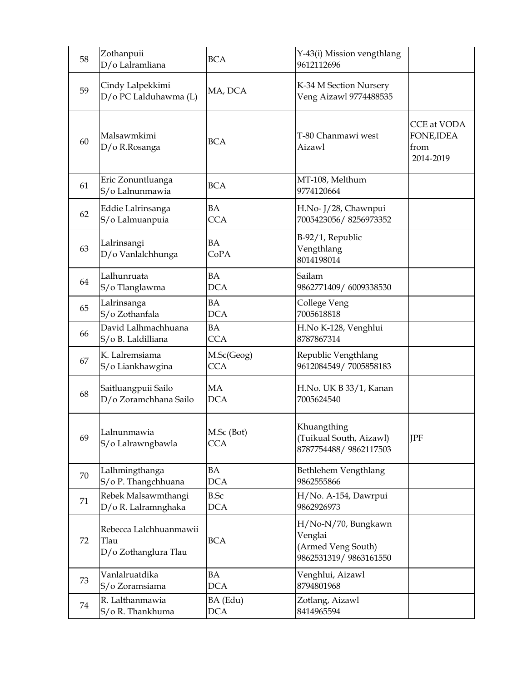| 58 | Zothanpuii<br>D/o Lalramliana                          | <b>BCA</b>                | Y-43(i) Mission vengthlang<br>9612112696                                      |                                                       |
|----|--------------------------------------------------------|---------------------------|-------------------------------------------------------------------------------|-------------------------------------------------------|
| 59 | Cindy Lalpekkimi<br>D/o PC Lalduhawma (L)              | MA, DCA                   | K-34 M Section Nursery<br>Veng Aizawl 9774488535                              |                                                       |
| 60 | Malsawmkimi<br>D/o R.Rosanga                           | <b>BCA</b>                | T-80 Chanmawi west<br>Aizawl                                                  | <b>CCE</b> at VODA<br>FONE, IDEA<br>from<br>2014-2019 |
| 61 | Eric Zonuntluanga<br>S/o Lalnunmawia                   | <b>BCA</b>                | MT-108, Melthum<br>9774120664                                                 |                                                       |
| 62 | Eddie Lalrinsanga<br>S/o Lalmuanpuia                   | BA<br><b>CCA</b>          | H.No- J/28, Chawnpui<br>7005423056/8256973352                                 |                                                       |
| 63 | Lalrinsangi<br>D/o Vanlalchhunga                       | BA<br>CoPA                | B-92/1, Republic<br>Vengthlang<br>8014198014                                  |                                                       |
| 64 | Lalhunruata<br>S/o Tlanglawma                          | <b>BA</b><br><b>DCA</b>   | Sailam<br>9862771409/6009338530                                               |                                                       |
| 65 | Lalrinsanga<br>S/o Zothanfala                          | BA<br><b>DCA</b>          | College Veng<br>7005618818                                                    |                                                       |
| 66 | David Lalhmachhuana<br>S/o B. Laldilliana              | BA<br><b>CCA</b>          | H.No K-128, Venghlui<br>8787867314                                            |                                                       |
| 67 | K. Lalremsiama<br>S/o Liankhawgina                     | M.Sc(Geog)<br><b>CCA</b>  | Republic Vengthlang<br>9612084549/7005858183                                  |                                                       |
| 68 | Saitluangpuii Sailo<br>D/o Zoramchhana Sailo           | <b>MA</b><br><b>DCA</b>   | H.No. UK B 33/1, Kanan<br>7005624540                                          |                                                       |
| 69 | Lalnunmawia<br>S/o Lalrawngbawla                       | M.Sc (Bot)<br><b>CCA</b>  | Khuangthing<br>(Tuikual South, Aizawl)<br>8787754488/9862117503               | <b>JPF</b>                                            |
| 70 | Lalhmingthanga<br>S/o P. Thangchhuana                  | BA<br><b>DCA</b>          | Bethlehem Vengthlang<br>9862555866                                            |                                                       |
| 71 | Rebek Malsawmthangi<br>D/o R. Lalramnghaka             | <b>B.Sc</b><br><b>DCA</b> | H/No. A-154, Dawrpui<br>9862926973                                            |                                                       |
| 72 | Rebecca Lalchhuanmawii<br>Tlau<br>D/o Zothanglura Tlau | <b>BCA</b>                | H/No-N/70, Bungkawn<br>Venglai<br>(Armed Veng South)<br>9862531319/9863161550 |                                                       |
| 73 | Vanlalruatdika<br>S/o Zoramsiama                       | BA<br><b>DCA</b>          | Venghlui, Aizawl<br>8794801968                                                |                                                       |
| 74 | R. Lalthanmawia<br>S/o R. Thankhuma                    | BA (Edu)<br>DCA           | Zotlang, Aizawl<br>8414965594                                                 |                                                       |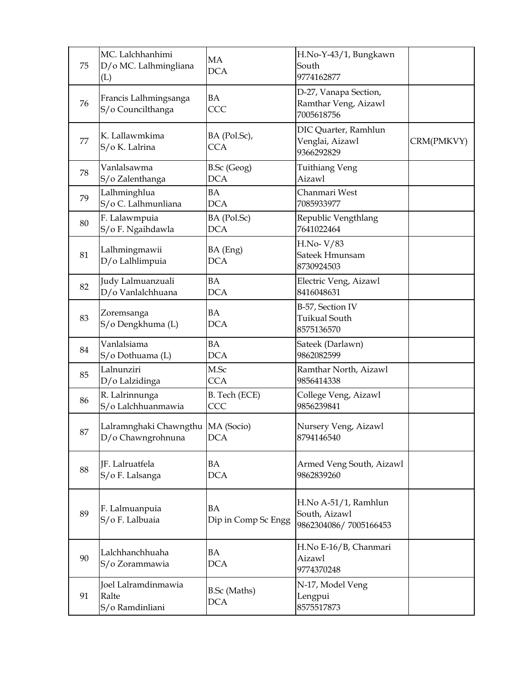| 75     | MC. Lalchhanhimi<br>D/o MC. Lalhmingliana<br>(L)         | <b>MA</b><br><b>DCA</b>           | H.No-Y-43/1, Bungkawn<br>South<br>9774162877                   |            |
|--------|----------------------------------------------------------|-----------------------------------|----------------------------------------------------------------|------------|
| 76     | Francis Lalhmingsanga<br>S/o Councilthanga               | BA<br>CCC                         | D-27, Vanapa Section,<br>Ramthar Veng, Aizawl<br>7005618756    |            |
| 77     | K. Lallawmkima<br>S/o K. Lalrina                         | BA (Pol.Sc),<br><b>CCA</b>        | DIC Quarter, Ramhlun<br>Venglai, Aizawl<br>9366292829          | CRM(PMKVY) |
| 78     | Vanlalsawma<br>S/o Zalenthanga                           | B.Sc (Geog)<br><b>DCA</b>         | <b>Tuithiang Veng</b><br>Aizawl                                |            |
| 79     | Lalhminghlua<br>S/o C. Lalhmunliana                      | <b>BA</b><br><b>DCA</b>           | Chanmari West<br>7085933977                                    |            |
| 80     | F. Lalawmpuia<br>S/o F. Ngaihdawla                       | BA (Pol.Sc)<br><b>DCA</b>         | Republic Vengthlang<br>7641022464                              |            |
| 81     | Lalhmingmawii<br>D/o Lalhlimpuia                         | BA (Eng)<br><b>DCA</b>            | $H.No-V/83$<br>Sateek Hmunsam<br>8730924503                    |            |
| 82     | Judy Lalmuanzuali<br>D/o Vanlalchhuana                   | <b>BA</b><br><b>DCA</b>           | Electric Veng, Aizawl<br>8416048631                            |            |
| 83     | Zoremsanga<br>S/o Dengkhuma (L)                          | <b>BA</b><br><b>DCA</b>           | B-57, Section IV<br><b>Tuikual South</b><br>8575136570         |            |
| 84     | Vanlalsiama<br>S/o Dothuama (L)                          | <b>BA</b><br><b>DCA</b>           | Sateek (Darlawn)<br>9862082599                                 |            |
| 85     | Lalnunziri<br>D/o Lalzidinga                             | M.Sc<br><b>CCA</b>                | Ramthar North, Aizawl<br>9856414338                            |            |
| 86     | R. Lalrinnunga<br>S/o Lalchhuanmawia                     | B. Tech (ECE)<br>CCC              | College Veng, Aizawl<br>9856239841                             |            |
| $87\,$ | Lalramnghaki Chawngthu   MA (Socio)<br>D/o Chawngrohnuna | <b>DCA</b>                        | Nursery Veng, Aizawl<br>8794146540                             |            |
| 88     | JF. Lalruatfela<br>S/o F. Lalsanga                       | BA<br><b>DCA</b>                  | Armed Veng South, Aizawl<br>9862839260                         |            |
| 89     | F. Lalmuanpuia<br>S/o F. Lalbuaia                        | <b>BA</b><br>Dip in Comp Sc Engg  | H.No A-51/1, Ramhlun<br>South, Aizawl<br>9862304086/7005166453 |            |
| 90     | Lalchhanchhuaha<br>S/o Zorammawia                        | BA<br><b>DCA</b>                  | H.No E-16/B, Chanmari<br>Aizawl<br>9774370248                  |            |
| 91     | Joel Lalramdinmawia<br>Ralte<br>S/o Ramdinliani          | <b>B.Sc</b> (Maths)<br><b>DCA</b> | N-17, Model Veng<br>Lengpui<br>8575517873                      |            |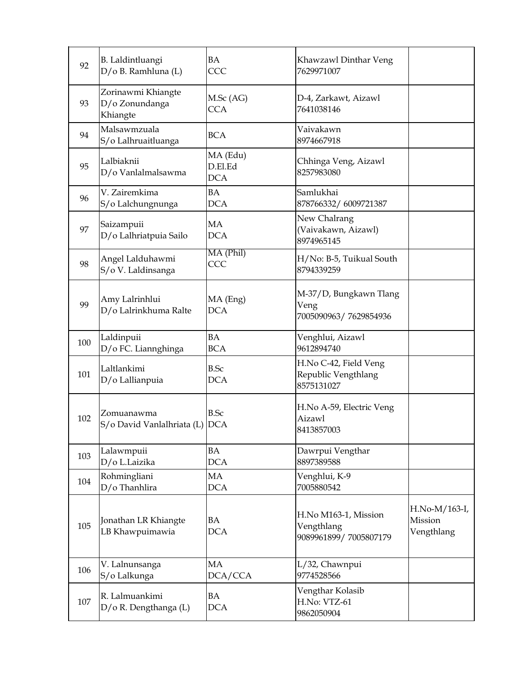| 92  | <b>B.</b> Laldintluangi<br>D/o B. Ramhluna (L)   | <b>BA</b><br>CCC                  | Khawzawl Dinthar Veng<br>7629971007                         |                                        |
|-----|--------------------------------------------------|-----------------------------------|-------------------------------------------------------------|----------------------------------------|
| 93  | Zorinawmi Khiangte<br>D/o Zonundanga<br>Khiangte | M.Sc (AG)<br><b>CCA</b>           | D-4, Zarkawt, Aizawl<br>7641038146                          |                                        |
| 94  | Malsawmzuala<br>S/o Lalhruaitluanga              | <b>BCA</b>                        | Vaivakawn<br>8974667918                                     |                                        |
| 95  | Lalbiaknii<br>D/o Vanlalmalsawma                 | MA (Edu)<br>D.El.Ed<br><b>DCA</b> | Chhinga Veng, Aizawl<br>8257983080                          |                                        |
| 96  | V. Zairemkima<br>S/o Lalchungnunga               | <b>BA</b><br><b>DCA</b>           | Samlukhai<br>878766332/6009721387                           |                                        |
| 97  | Saizampuii<br>D/o Lalhriatpuia Sailo             | <b>MA</b><br><b>DCA</b>           | New Chalrang<br>(Vaivakawn, Aizawl)<br>8974965145           |                                        |
| 98  | Angel Lalduhawmi<br>S/o V. Laldinsanga           | MA (Phil)<br>CCC                  | H/No: B-5, Tuikual South<br>8794339259                      |                                        |
| 99  | Amy Lalrinhlui<br>D/o Lalrinkhuma Ralte          | MA (Eng)<br><b>DCA</b>            | M-37/D, Bungkawn Tlang<br>Veng<br>7005090963/7629854936     |                                        |
| 100 | Laldinpuii<br>D/o FC. Liannghinga                | <b>BA</b><br><b>BCA</b>           | Venghlui, Aizawl<br>9612894740                              |                                        |
| 101 | Laltlankimi<br>D/o Lallianpuia                   | <b>B.Sc</b><br><b>DCA</b>         | H.No C-42, Field Veng<br>Republic Vengthlang<br>8575131027  |                                        |
| 102 | Zomuanawma<br>S/o David Vanlalhriata (L) DCA     | <b>B.Sc</b>                       | H.No A-59, Electric Veng<br>Aizawl<br>8413857003            |                                        |
| 103 | Lalawmpuii<br>D/o L.Laizika                      | <b>BA</b><br><b>DCA</b>           | Dawrpui Vengthar<br>8897389588                              |                                        |
| 104 | Rohmingliani<br>D/o Thanhlira                    | MA<br><b>DCA</b>                  | Venghlui, K-9<br>7005880542                                 |                                        |
| 105 | Jonathan LR Khiangte<br>LB Khawpuimawia          | <b>BA</b><br><b>DCA</b>           | H.No M163-1, Mission<br>Vengthlang<br>9089961899/7005807179 | H.No-M/163-I,<br>Mission<br>Vengthlang |
| 106 | V. Lalnunsanga<br>S/o Lalkunga                   | MA<br>DCA/CCA                     | L/32, Chawnpui<br>9774528566                                |                                        |
| 107 | R. Lalmuankimi<br>D/o R. Dengthanga (L)          | <b>BA</b><br><b>DCA</b>           | Vengthar Kolasib<br>H.No: VTZ-61<br>9862050904              |                                        |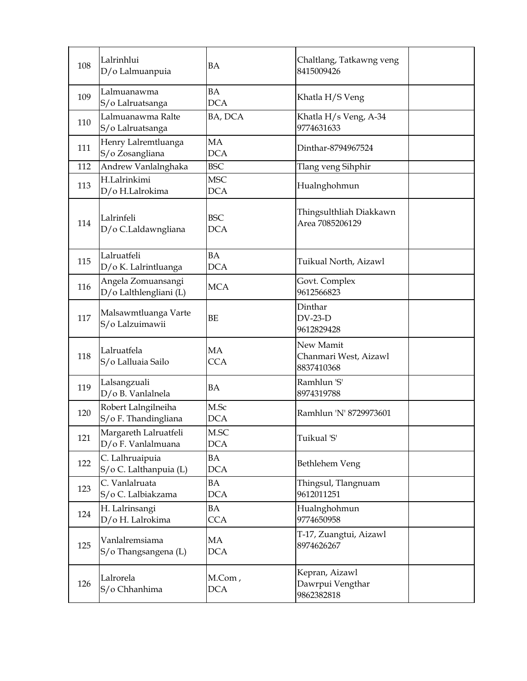| 108 | Lalrinhlui<br>D/o Lalmuanpuia                | <b>BA</b>                | Chaltlang, Tatkawng veng<br>8415009426           |  |
|-----|----------------------------------------------|--------------------------|--------------------------------------------------|--|
| 109 | Lalmuanawma<br>S/o Lalruatsanga              | BA<br><b>DCA</b>         | Khatla H/S Veng                                  |  |
| 110 | Lalmuanawma Ralte<br>S/o Lalruatsanga        | BA, DCA                  | Khatla H/s Veng, A-34<br>9774631633              |  |
| 111 | Henry Lalremtluanga<br>S/o Zosangliana       | MA<br><b>DCA</b>         | Dinthar-8794967524                               |  |
| 112 | Andrew Vanlalnghaka                          | <b>BSC</b>               | Tlang veng Sihphir                               |  |
| 113 | H.Lalrinkimi<br>D/o H.Lalrokima              | <b>MSC</b><br><b>DCA</b> | Hualnghohmun                                     |  |
| 114 | Lalrinfeli<br>D/o C.Laldawngliana            | <b>BSC</b><br><b>DCA</b> | Thingsulthliah Diakkawn<br>Area 7085206129       |  |
| 115 | Lalruatfeli<br>D/o K. Lalrintluanga          | BA<br><b>DCA</b>         | Tuikual North, Aizawl                            |  |
| 116 | Angela Zomuansangi<br>D/o Lalthlengliani (L) | <b>MCA</b>               | Govt. Complex<br>9612566823                      |  |
| 117 | Malsawmtluanga Varte<br>S/o Lalzuimawii      | BE                       | Dinthar<br>$DV-23-D$<br>9612829428               |  |
| 118 | Lalruatfela<br>S/o Lalluaia Sailo            | MA<br><b>CCA</b>         | New Mamit<br>Chanmari West, Aizawl<br>8837410368 |  |
| 119 | Lalsangzuali<br>D/o B. Vanlalnela            | BA                       | Ramhlun 'S'<br>8974319788                        |  |
| 120 | Robert Lalngilneiha<br>S/o F. Thandingliana  | M.Sc<br><b>DCA</b>       | Ramhlun 'N' 8729973601                           |  |
| 121 | Margareth Lalruatfeli<br>D/o F. Vanlalmuana  | M.SC<br><b>DCA</b>       | Tuikual 'S'                                      |  |
| 122 | C. Lalhruaipuia<br>S/o C. Lalthanpuia (L)    | ΒA<br><b>DCA</b>         | Bethlehem Veng                                   |  |
| 123 | C. Vanlalruata<br>S/o C. Lalbiakzama         | BA<br><b>DCA</b>         | Thingsul, Tlangnuam<br>9612011251                |  |
| 124 | H. Lalrinsangi<br>D/o H. Lalrokima           | BA<br><b>CCA</b>         | Hualnghohmun<br>9774650958                       |  |
| 125 | Vanlalremsiama<br>S/o Thangsangena (L)       | MA<br><b>DCA</b>         | T-17, Zuangtui, Aizawl<br>8974626267             |  |
| 126 | Lalrorela<br>S/o Chhanhima                   | M.Com,<br><b>DCA</b>     | Kepran, Aizawl<br>Dawrpui Vengthar<br>9862382818 |  |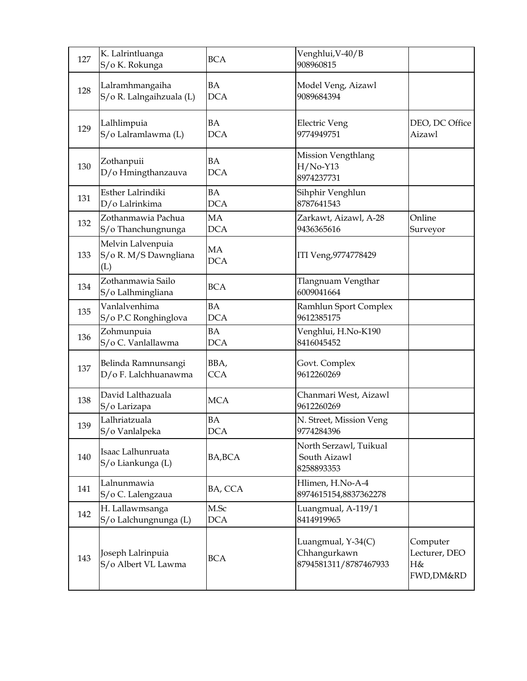| 127 | K. Lalrintluanga<br>S/o K. Rokunga                | <b>BCA</b>              | Venghlui, V-40/B<br>908960815                               |                                              |
|-----|---------------------------------------------------|-------------------------|-------------------------------------------------------------|----------------------------------------------|
| 128 | Lalramhmangaiha<br>S/o R. Lalngaihzuala (L)       | <b>BA</b><br><b>DCA</b> | Model Veng, Aizawl<br>9089684394                            |                                              |
| 129 | Lalhlimpuia<br>S/o Lalramlawma (L)                | <b>BA</b><br><b>DCA</b> | Electric Veng<br>9774949751                                 | DEO, DC Office<br>Aizawl                     |
| 130 | Zothanpuii<br>D/o Hmingthanzauva                  | BA<br><b>DCA</b>        | Mission Vengthlang<br>$H/No-Y13$<br>8974237731              |                                              |
| 131 | Esther Lalrindiki<br>D/o Lalrinkima               | <b>BA</b><br><b>DCA</b> | Sihphir Venghlun<br>8787641543                              |                                              |
| 132 | Zothanmawia Pachua<br>S/o Thanchungnunga          | MA<br><b>DCA</b>        | Zarkawt, Aizawl, A-28<br>9436365616                         | Online<br>Surveyor                           |
| 133 | Melvin Lalvenpuia<br>S/o R. M/S Dawngliana<br>(L) | MA<br><b>DCA</b>        | ITI Veng, 9774778429                                        |                                              |
| 134 | Zothanmawia Sailo<br>S/o Lalhmingliana            | <b>BCA</b>              | Tlangnuam Vengthar<br>6009041664                            |                                              |
| 135 | Vanlalvenhima<br>S/o P.C Ronghinglova             | <b>BA</b><br><b>DCA</b> | Ramhlun Sport Complex<br>9612385175                         |                                              |
| 136 | Zohmunpuia<br>S/o C. Vanlallawma                  | <b>BA</b><br><b>DCA</b> | Venghlui, H.No-K190<br>8416045452                           |                                              |
| 137 | Belinda Ramnunsangi<br>D/o F. Lalchhuanawma       | BBA,<br><b>CCA</b>      | Govt. Complex<br>9612260269                                 |                                              |
| 138 | David Lalthazuala<br>S/o Larizapa                 | <b>MCA</b>              | Chanmari West, Aizawl<br>9612260269                         |                                              |
| 139 | Lalhriatzuala<br>S/o Vanlalpeka                   | <b>BA</b><br><b>DCA</b> | N. Street, Mission Veng<br>9774284396                       |                                              |
| 140 | Isaac Lalhunruata<br>S/o Liankunga (L)            | BA, BCA                 | North Serzawl, Tuikual<br>South Aizawl<br>8258893353        |                                              |
| 141 | Lalnunmawia<br>S/o C. Lalengzaua                  | BA, CCA                 | Hlimen, H.No-A-4<br>8974615154,8837362278                   |                                              |
| 142 | H. Lallawmsanga<br>S/o Lalchungnunga (L)          | M.Sc<br><b>DCA</b>      | Luangmual, A-119/1<br>8414919965                            |                                              |
| 143 | Joseph Lalrinpuia<br>S/o Albert VL Lawma          | <b>BCA</b>              | Luangmual, Y-34(C)<br>Chhangurkawn<br>8794581311/8787467933 | Computer<br>Lecturer, DEO<br>H&<br>FWD,DM&RD |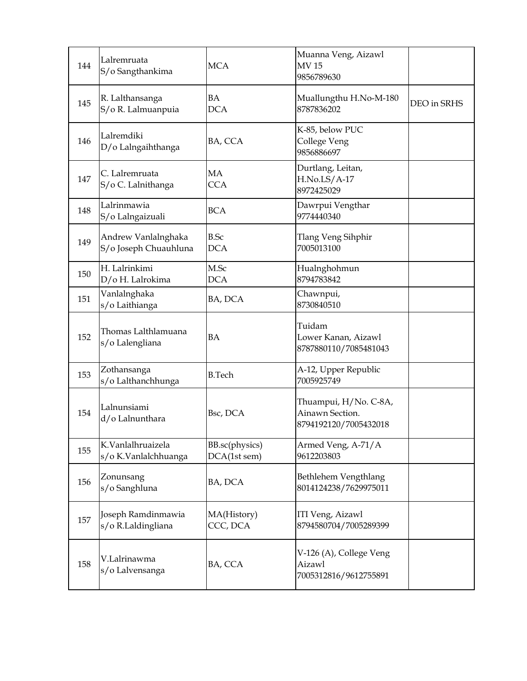| 144 | Lalremruata<br>S/o Sangthankima              | <b>MCA</b>                     | Muanna Veng, Aizawl<br><b>MV15</b><br>9856789630                  |             |
|-----|----------------------------------------------|--------------------------------|-------------------------------------------------------------------|-------------|
| 145 | R. Lalthansanga<br>S/o R. Lalmuanpuia        | <b>BA</b><br><b>DCA</b>        | Muallungthu H.No-M-180<br>8787836202                              | DEO in SRHS |
| 146 | Lalremdiki<br>D/o Lalngaihthanga             | BA, CCA                        | K-85, below PUC<br>College Veng<br>9856886697                     |             |
| 147 | C. Lalremruata<br>S/o C. Lalnithanga         | MA<br><b>CCA</b>               | Durtlang, Leitan,<br>$H.No.LS/A-17$<br>8972425029                 |             |
| 148 | Lalrinmawia<br>S/o Lalngaizuali              | <b>BCA</b>                     | Dawrpui Vengthar<br>9774440340                                    |             |
| 149 | Andrew Vanlalnghaka<br>S/o Joseph Chuauhluna | <b>B.Sc</b><br><b>DCA</b>      | <b>Tlang Veng Sihphir</b><br>7005013100                           |             |
| 150 | H. Lalrinkimi<br>D/o H. Lalrokima            | M.Sc<br><b>DCA</b>             | Hualnghohmun<br>8794783842                                        |             |
| 151 | Vanlalnghaka<br>s/o Laithianga               | BA, DCA                        | Chawnpui,<br>8730840510                                           |             |
| 152 | Thomas Lalthlamuana<br>s/o Lalengliana       | <b>BA</b>                      | Tuidam<br>Lower Kanan, Aizawl<br>8787880110/7085481043            |             |
| 153 | Zothansanga<br>s/o Lalthanchhunga            | <b>B.Tech</b>                  | A-12, Upper Republic<br>7005925749                                |             |
| 154 | Lalnunsiami<br>d/o Lalnunthara               | Bsc, DCA                       | Thuampui, H/No. C-8A,<br>Ainawn Section.<br>8794192120/7005432018 |             |
| 155 | K.Vanlalhruaizela<br>s/o K.Vanlalchhuanga    | BB.sc(physics)<br>DCA(1st sem) | Armed Veng, A-71/A<br>9612203803                                  |             |
| 156 | Zonunsang<br>s/o Sanghluna                   | BA, DCA                        | Bethlehem Vengthlang<br>8014124238/7629975011                     |             |
| 157 | Joseph Ramdinmawia<br>s/o R.Laldingliana     | MA(History)<br>CCC, DCA        | ITI Veng, Aizawl<br>8794580704/7005289399                         |             |
| 158 | V.Lalrinawma<br>s/o Lalvensanga              | BA, CCA                        | V-126 (A), College Veng<br>Aizawl<br>7005312816/9612755891        |             |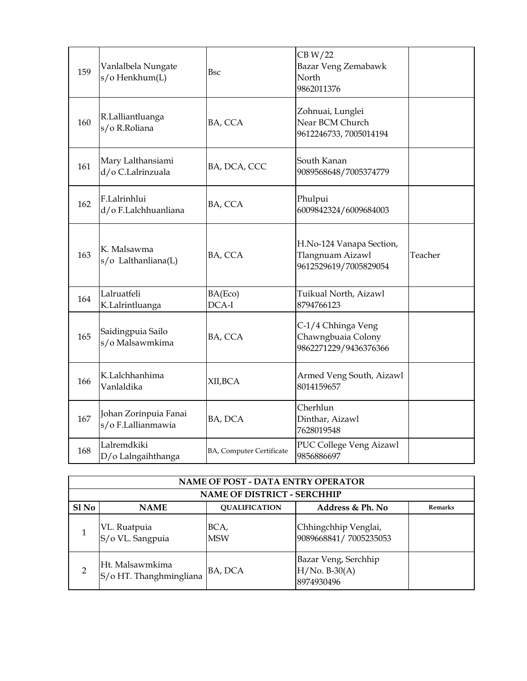| 159 | Vanlalbela Nungate<br>s/o Henkhum(L)        | <b>Bsc</b>               | CB W/22<br>Bazar Veng Zemabawk<br>North<br>9862011376                 |         |
|-----|---------------------------------------------|--------------------------|-----------------------------------------------------------------------|---------|
| 160 | R.Lalliantluanga<br>s/o R.Roliana           | BA, CCA                  | Zohnuai, Lunglei<br>Near BCM Church<br>9612246733, 7005014194         |         |
| 161 | Mary Lalthansiami<br>d/o C.Lalrinzuala      | BA, DCA, CCC             | South Kanan<br>9089568648/7005374779                                  |         |
| 162 | F.Lalrinhlui<br>d/o F.Lalchhuanliana        | BA, CCA                  | Phulpui<br>6009842324/6009684003                                      |         |
| 163 | K. Malsawma<br>s/o Lalthanliana(L)          | BA, CCA                  | H.No-124 Vanapa Section,<br>Tlangnuam Aizawl<br>9612529619/7005829054 | Teacher |
| 164 | Lalruatfeli<br>K.Lalrintluanga              | BA(Eco)<br>DCA-I         | Tuikual North, Aizawl<br>8794766123                                   |         |
| 165 | Saidingpuia Sailo<br>s/o Malsawmkima        | BA, CCA                  | C-1/4 Chhinga Veng<br>Chawngbuaia Colony<br>9862271229/9436376366     |         |
| 166 | K.Lalchhanhima<br>Vanlaldika                | XII,BCA                  | Armed Veng South, Aizawl<br>8014159657                                |         |
| 167 | Johan Zorinpuia Fanai<br>s/o F.Lallianmawia | BA, DCA                  | Cherhlun<br>Dinthar, Aizawl<br>7628019548                             |         |
| 168 | Lalremdkiki<br>D/o Lalngaihthanga           | BA, Computer Certificate | PUC College Veng Aizawl<br>9856886697                                 |         |

| <b>NAME OF POST - DATA ENTRY OPERATOR</b> |                                            |                                    |                                                       |                |
|-------------------------------------------|--------------------------------------------|------------------------------------|-------------------------------------------------------|----------------|
|                                           |                                            | <b>NAME OF DISTRICT - SERCHHIP</b> |                                                       |                |
| Sl No                                     | <b>NAME</b>                                | <b>OUALIFICATION</b>               | Address & Ph. No                                      | <b>Remarks</b> |
|                                           | VL. Ruatpuia<br>S/o VL. Sangpuia           | BCA,<br><b>MSW</b>                 | Chhingchhip Venglai,<br>9089668841/7005235053         |                |
|                                           | Ht. Malsawmkima<br>S/o HT. Thanghmingliana | BA, DCA                            | Bazar Veng, Serchhip<br>$H/No. B-30(A)$<br>8974930496 |                |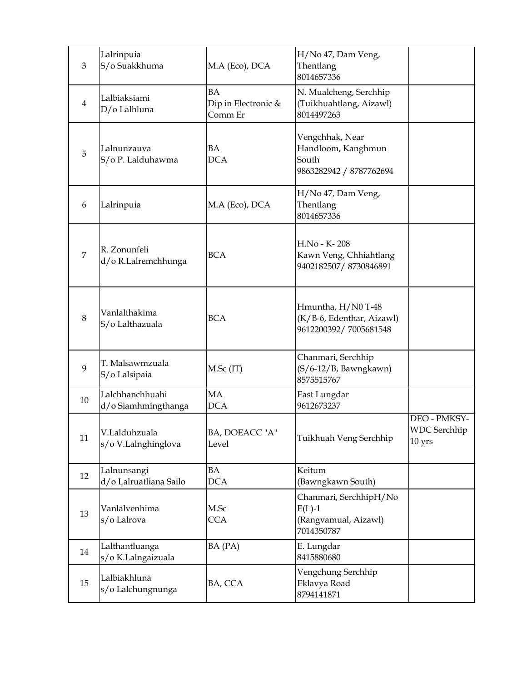| 3              | Lalrinpuia<br>S/o Suakkhuma            | M.A (Eco), DCA                              | H/No 47, Dam Veng,<br>Thentlang<br>8014657336                             |                                                            |
|----------------|----------------------------------------|---------------------------------------------|---------------------------------------------------------------------------|------------------------------------------------------------|
| $\overline{4}$ | Lalbiaksiami<br>D/o Lalhluna           | <b>BA</b><br>Dip in Electronic &<br>Comm Er | N. Mualcheng, Serchhip<br>(Tuikhuahtlang, Aizawl)<br>8014497263           |                                                            |
| 5              | Lalnunzauva<br>S/o P. Lalduhawma       | BA<br><b>DCA</b>                            | Vengchhak, Near<br>Handloom, Kanghmun<br>South<br>9863282942 / 8787762694 |                                                            |
| 6              | Lalrinpuia                             | M.A (Eco), DCA                              | H/No 47, Dam Veng,<br>Thentlang<br>8014657336                             |                                                            |
| 7              | R. Zonunfeli<br>d/o R.Lalremchhunga    | <b>BCA</b>                                  | H.No - K-208<br>Kawn Veng, Chhiahtlang<br>9402182507/8730846891           |                                                            |
| 8              | Vanlalthakima<br>S/o Lalthazuala       | <b>BCA</b>                                  | Hmuntha, H/N0 T-48<br>(K/B-6, Edenthar, Aizawl)<br>9612200392/7005681548  |                                                            |
| 9              | T. Malsawmzuala<br>S/o Lalsipaia       | $M.Sc$ (IT)                                 | Chanmari, Serchhip<br>(S/6-12/B, Bawngkawn)<br>8575515767                 |                                                            |
| 10             | Lalchhanchhuahi<br>d/o Siamhmingthanga | <b>MA</b><br><b>DCA</b>                     | East Lungdar<br>9612673237                                                |                                                            |
| 11             | V.Lalduhzuala<br>s/o V.Lalnghinglova   | BA, DOEACC "A"<br>Level                     | Tuikhuah Veng Serchhip                                                    | DEO - PMKSY-<br><b>WDC</b> Serchhip<br>$10 \,\mathrm{yrs}$ |
| 12             | Lalnunsangi<br>d/o Lalruatliana Sailo  | BA<br><b>DCA</b>                            | Keitum<br>(Bawngkawn South)                                               |                                                            |
| 13             | Vanlalvenhima<br>s/o Lalrova           | M.Sc<br><b>CCA</b>                          | Chanmari, SerchhipH/No<br>$E(L)-1$<br>(Rangvamual, Aizawl)<br>7014350787  |                                                            |
| 14             | Lalthantluanga<br>s/o K.Lalngaizuala   | BA (PA)                                     | E. Lungdar<br>8415880680                                                  |                                                            |
| 15             | Lalbiakhluna<br>s/o Lalchungnunga      | BA, CCA                                     | Vengchung Serchhip<br>Eklavya Road<br>8794141871                          |                                                            |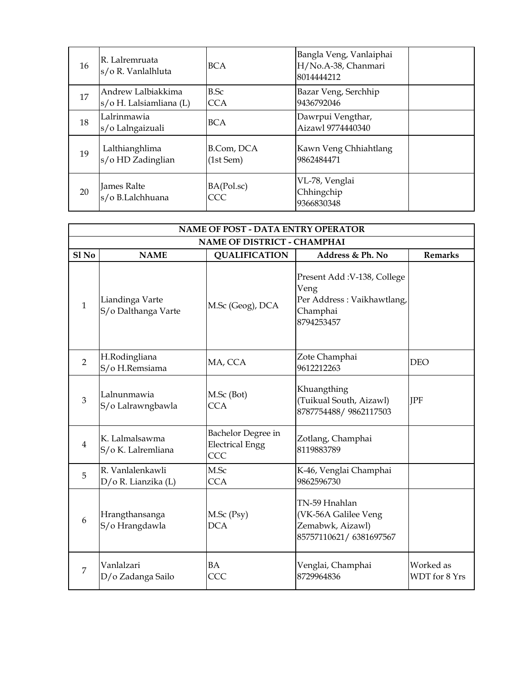| 16 | R. Lalremruata<br>s/o R. Vanlalhluta          | <b>BCA</b>              | Bangla Veng, Vanlaiphai<br>H/No.A-38, Chanmari<br>8014444212 |  |
|----|-----------------------------------------------|-------------------------|--------------------------------------------------------------|--|
| 17 | Andrew Lalbiakkima<br>s/o H. Lalsiamliana (L) | B.Sc<br><b>CCA</b>      | Bazar Veng, Serchhip<br>9436792046                           |  |
| 18 | Lalrinmawia<br>s/o Lalngaizuali               | <b>BCA</b>              | Dawrpui Vengthar,<br>Aizawl 9774440340                       |  |
| 19 | Lalthianghlima<br>s/o HD Zadinglian           | B.Com, DCA<br>(1st Sem) | Kawn Veng Chhiahtlang<br>9862484471                          |  |
| 20 | James Ralte<br>s/o B.Lalchhuana               | BA(Pol.sc)<br>CCC       | VL-78, Venglai<br>Chhingchip<br>9366830348                   |  |

|                | <b>NAME OF POST - DATA ENTRY OPERATOR</b> |                                                     |                                                                                             |                            |  |
|----------------|-------------------------------------------|-----------------------------------------------------|---------------------------------------------------------------------------------------------|----------------------------|--|
|                |                                           | <b>NAME OF DISTRICT - CHAMPHAI</b>                  |                                                                                             |                            |  |
| $S1$ No        | <b>NAME</b>                               | <b>QUALIFICATION</b>                                | Address & Ph. No                                                                            | <b>Remarks</b>             |  |
| $\mathbf{1}$   | Liandinga Varte<br>S/o Dalthanga Varte    | M.Sc (Geog), DCA                                    | Present Add: V-138, College<br>Veng<br>Per Address: Vaikhawtlang,<br>Champhai<br>8794253457 |                            |  |
| 2              | H.Rodingliana<br>S/o H.Remsiama           | MA, CCA                                             | Zote Champhai<br>9612212263                                                                 | <b>DEO</b>                 |  |
| 3              | Lalnunmawia<br>S/o Lalrawngbawla          | M.Sc (Bot)<br><b>CCA</b>                            | Khuangthing<br>(Tuikual South, Aizawl)<br>8787754488/9862117503                             | <b>IPF</b>                 |  |
| $\overline{4}$ | K. Lalmalsawma<br>S/o K. Lalremliana      | Bachelor Degree in<br><b>Electrical Engg</b><br>CCC | Zotlang, Champhai<br>8119883789                                                             |                            |  |
| 5              | R. Vanlalenkawli<br>D/o R. Lianzika (L)   | M.Sc<br><b>CCA</b>                                  | K-46, Venglai Champhai<br>9862596730                                                        |                            |  |
| 6              | Hrangthansanga<br>S/o Hrangdawla          | $M.Sc$ (Psy)<br><b>DCA</b>                          | TN-59 Hnahlan<br>(VK-56A Galilee Veng<br>Zemabwk, Aizawl)<br>85757110621/6381697567         |                            |  |
| $\overline{7}$ | Vanlalzari<br>D/o Zadanga Sailo           | BA<br>CCC                                           | Venglai, Champhai<br>8729964836                                                             | Worked as<br>WDT for 8 Yrs |  |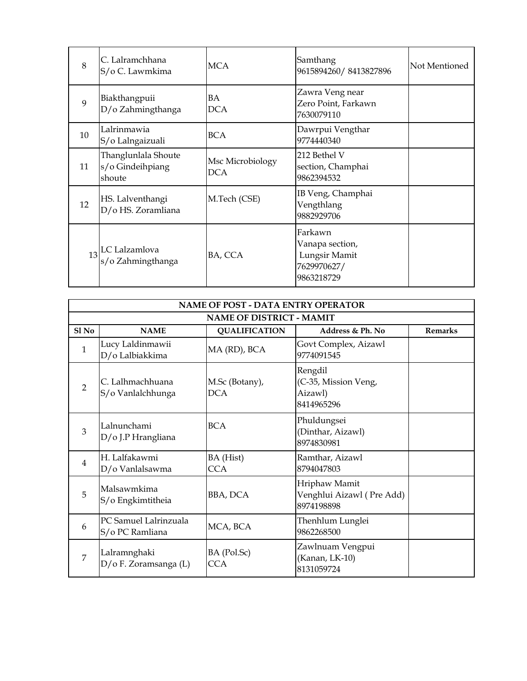| 8  | C. Lalramchhana<br>S/o C. Lawmkima                | <b>MCA</b>                     | Samthang<br>9615894260/8413827896                                        | Not Mentioned |
|----|---------------------------------------------------|--------------------------------|--------------------------------------------------------------------------|---------------|
| 9  | Biakthangpuii<br>D/o Zahmingthanga                | BA<br><b>DCA</b>               | Zawra Veng near<br>Zero Point, Farkawn<br>7630079110                     |               |
| 10 | Lalrinmawia<br>S/o Lalngaizuali                   | <b>BCA</b>                     | Dawrpui Vengthar<br>9774440340                                           |               |
| 11 | Thanglunlala Shoute<br>s/o Gindeihpiang<br>shoute | Msc Microbiology<br><b>DCA</b> | 212 Bethel V<br>section, Champhai<br>9862394532                          |               |
| 12 | HS. Lalventhangi<br>D/o HS. Zoramliana            | M.Tech (CSE)                   | IB Veng, Champhai<br>Vengthlang<br>9882929706                            |               |
| 13 | LC Lalzamlova<br>s/o Zahmingthanga                | BA, CCA                        | Farkawn<br>Vanapa section,<br>Lungsir Mamit<br>7629970627/<br>9863218729 |               |

| <b>NAME OF POST - DATA ENTRY OPERATOR</b> |                                          |                                 |                                                          |                |
|-------------------------------------------|------------------------------------------|---------------------------------|----------------------------------------------------------|----------------|
|                                           |                                          | <b>NAME OF DISTRICT - MAMIT</b> |                                                          |                |
| $S1$ No                                   | <b>NAME</b>                              | <b>QUALIFICATION</b>            | Address & Ph. No                                         | <b>Remarks</b> |
| 1                                         | Lucy Laldinmawii<br>D/o Lalbiakkima      | MA (RD), BCA                    | Govt Complex, Aizawl<br>9774091545                       |                |
| $\mathfrak{D}$                            | C. Lalhmachhuana<br>S/o Vanlalchhunga    | M.Sc (Botany),<br><b>DCA</b>    | Rengdil<br>(C-35, Mission Veng,<br>Aizawl)<br>8414965296 |                |
| 3                                         | Lalnunchami<br>D/o J.P Hrangliana        | <b>BCA</b>                      | Phuldungsei<br>(Dinthar, Aizawl)<br>8974830981           |                |
| 4                                         | H. Lalfakawmi<br>D/o Vanlalsawma         | BA (Hist)<br>CCA.               | Ramthar, Aizawl<br>8794047803                            |                |
| 5                                         | Malsawmkima<br>S/o Engkimtitheia         | BBA, DCA                        | Hriphaw Mamit<br>Venghlui Aizawl (Pre Add)<br>8974198898 |                |
| 6                                         | PC Samuel Lalrinzuala<br>S/o PC Ramliana | MCA, BCA                        | Thenhlum Lunglei<br>9862268500                           |                |
| 7                                         | Lalramnghaki<br>D/o F. Zoramsanga (L)    | BA (Pol.Sc)<br><b>CCA</b>       | Zawlnuam Vengpui<br>(Kanan, LK-10)<br>8131059724         |                |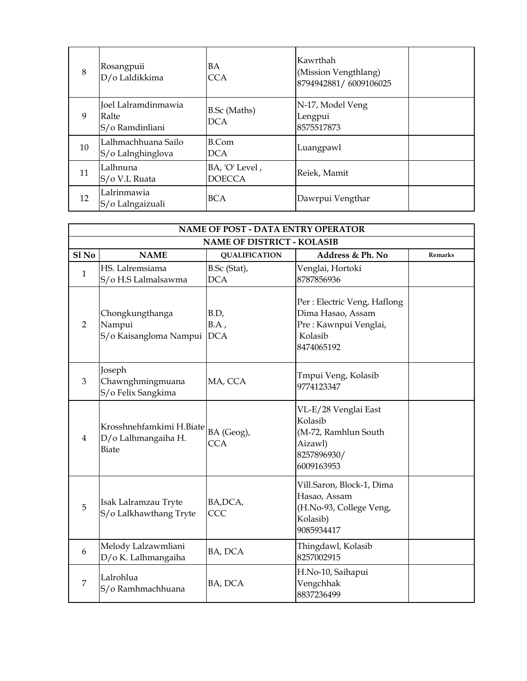| 8  | Rosangpuii<br>D/o Laldikkima                    | BA<br><b>CCA</b>                  | Kawrthah<br>(Mission Vengthlang)<br>8794942881/6009106025 |  |
|----|-------------------------------------------------|-----------------------------------|-----------------------------------------------------------|--|
| 9  | Joel Lalramdinmawia<br>Ralte<br>S/o Ramdinliani | <b>B.Sc</b> (Maths)<br><b>DCA</b> | N-17, Model Veng<br>Lengpui<br>8575517873                 |  |
| 10 | Lalhmachhuana Sailo<br>S/o Lalnghinglova        | B.Com<br><b>DCA</b>               | Luangpawl                                                 |  |
| 11 | Lalhnuna<br>S/o V.L Ruata                       | BA, 'O' Level,<br><b>DOECCA</b>   | Reiek, Mamit                                              |  |
| 12 | Lalrinmawia<br>S/o Lalngaizuali                 | <b>BCA</b>                        | Dawrpui Vengthar                                          |  |

| <b>NAME OF POST - DATA ENTRY OPERATOR</b> |                                                                 |                            |                                                                                                     |         |  |  |
|-------------------------------------------|-----------------------------------------------------------------|----------------------------|-----------------------------------------------------------------------------------------------------|---------|--|--|
|                                           | <b>NAME OF DISTRICT - KOLASIB</b>                               |                            |                                                                                                     |         |  |  |
| $SI$ No                                   | <b>NAME</b>                                                     | <b>QUALIFICATION</b>       | Address & Ph. No                                                                                    | Remarks |  |  |
| $\mathbf{1}$                              | HS. Lalremsiama<br>S/o H.S Lalmalsawma                          | B.Sc (Stat),<br><b>DCA</b> | Venglai, Hortoki<br>8787856936                                                                      |         |  |  |
| $\overline{2}$                            | Chongkungthanga<br>Nampui<br>S/o Kaisangloma Nampui DCA         | B.D,<br>$BA$ ,             | Per : Electric Veng, Haflong<br>Dima Hasao, Assam<br>Pre: Kawnpui Venglai,<br>Kolasib<br>8474065192 |         |  |  |
| $\overline{3}$                            | Joseph<br>Chawnghmingmuana<br>S/o Felix Sangkima                | MA, CCA                    | Tmpui Veng, Kolasib<br>9774123347                                                                   |         |  |  |
| 4                                         | Krosshnehfamkimi H.Biate<br>D/o Lalhmangaiha H.<br><b>Biate</b> | BA (Geog),<br><b>CCA</b>   | VL-E/28 Venglai East<br>Kolasib<br>(M-72, Ramhlun South<br>Aizawl)<br>8257896930/<br>6009163953     |         |  |  |
| 5                                         | Isak Lalramzau Tryte<br>S/o Lalkhawthang Tryte                  | BA, DCA,<br>CCC            | Vill.Saron, Block-1, Dima<br>Hasao, Assam<br>(H.No-93, College Veng,<br>Kolasib)<br>9085934417      |         |  |  |
| 6                                         | Melody Lalzawmliani<br>D/o K. Lalhmangaiha                      | BA, DCA                    | Thingdawl, Kolasib<br>8257002915                                                                    |         |  |  |
| 7                                         | Lalrohlua<br>S/o Ramhmachhuana                                  | BA, DCA                    | H.No-10, Saihapui<br>Vengchhak<br>8837236499                                                        |         |  |  |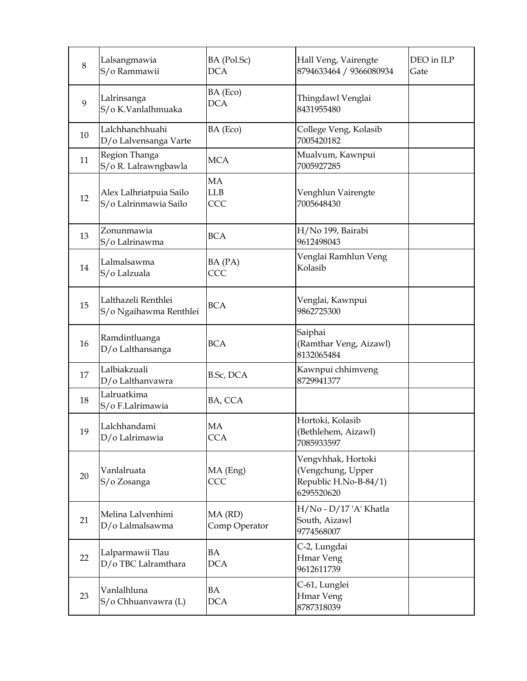| $8\,$ | Lalsangmawia<br>S/o Rammawii                     | BA (Pol.Sc)<br><b>DCA</b>      | Hall Veng, Vairengte<br>8794633464 / 9366080934                                | DEO in ILP<br>Gate |
|-------|--------------------------------------------------|--------------------------------|--------------------------------------------------------------------------------|--------------------|
| 9     | Lalrinsanga<br>S/o K.Vanlalhmuaka                | BA (Eco)<br><b>DCA</b>         | Thingdawl Venglai<br>8431955480                                                |                    |
| 10    | Lalchhanchhuahi<br>D/o Lalvensanga Varte         | BA (Eco)                       | College Veng, Kolasib<br>7005420182                                            |                    |
| 11    | Region Thanga<br>S/o R. Lalrawngbawla            | <b>MCA</b>                     | Mualvum, Kawnpui<br>7005927285                                                 |                    |
| 12    | Alex Lalhriatpuia Sailo<br>S/o Lalrinmawia Sailo | <b>MA</b><br><b>LLB</b><br>CCC | Venghlun Vairengte<br>7005648430                                               |                    |
| 13    | Zonunmawia<br>S/o Lalrinawma                     | <b>BCA</b>                     | H/No 199, Bairabi<br>9612498043                                                |                    |
| 14    | Lalmalsawma<br>S/o Lalzuala                      | BA (PA)<br>CCC                 | Venglai Ramhlun Veng<br>Kolasib                                                |                    |
| 15    | Lalthazeli Renthlei<br>S/o Ngaihawma Renthlei    | <b>BCA</b>                     | Venglai, Kawnpui<br>9862725300                                                 |                    |
| 16    | Ramdintluanga<br>D/o Lalthansanga                | <b>BCA</b>                     | Saiphai<br>(Ramthar Veng, Aizawl)<br>8132065484                                |                    |
| 17    | Lalbiakzuali<br>D/o Lalthanvawra                 | B.Sc, DCA                      | Kawnpui chhimveng<br>8729941377                                                |                    |
| 18    | Lalruatkima<br>S/o F.Lalrimawia                  | BA, CCA                        |                                                                                |                    |
| 19    | Lalchhandami<br>D/o Lalrimawia                   | MA<br><b>CCA</b>               | Hortoki, Kolasib<br>(Bethlehem, Aizawl)<br>7085933597                          |                    |
| 20    | Vanlalruata<br>S/o Zosanga                       | MA (Eng)<br>CCC                | Vengvhhak, Hortoki<br>(Vengchung, Upper<br>Republic H.No-B-84/1)<br>6295520620 |                    |
| 21    | Melina Lalvenhimi<br>D/o Lalmalsawma             | MA (RD)<br>Comp Operator       | H/No - D/17 'A' Khatla<br>South, Aizawl<br>9774568007                          |                    |
| 22    | Lalparmawii Tlau<br>D/o TBC Lalramthara          | BA<br><b>DCA</b>               | C-2, Lungdai<br><b>Hmar Veng</b><br>9612611739                                 |                    |
| 23    | Vanlalhluna<br>S/o Chhuanvawra (L)               | BA<br><b>DCA</b>               | C-61, Lunglei<br>Hmar Veng<br>8787318039                                       |                    |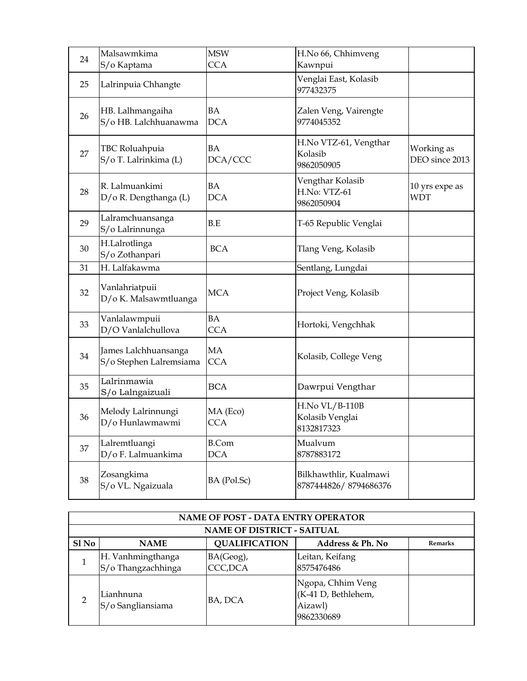| 24 | Malsawmkima<br>S/o Kaptama                      | <b>MSW</b><br><b>CCA</b>   | H.No 66, Chhimveng<br>Kawnpui                          |                              |
|----|-------------------------------------------------|----------------------------|--------------------------------------------------------|------------------------------|
| 25 | Lalrinpuia Chhangte                             |                            | Venglai East, Kolasib<br>977432375                     |                              |
| 26 | HB. Lalhmangaiha<br>S/o HB. Lalchhuanawma       | <b>BA</b><br><b>DCA</b>    | Zalen Veng, Vairengte<br>9774045352                    |                              |
| 27 | TBC Roluahpuia<br>S/o T. Lalrinkima (L)         | <b>BA</b><br>DCA/CCC       | H.No VTZ-61, Vengthar<br>Kolasib<br>9862050905         | Working as<br>DEO since 2013 |
| 28 | R. Lalmuankimi<br>D/o R. Dengthanga (L)         | BA<br><b>DCA</b>           | Vengthar Kolasib<br>H.No: VTZ-61<br>9862050904         | 10 yrs expe as<br><b>WDT</b> |
| 29 | Lalramchuansanga<br>S/o Lalrinnunga             | $\operatorname{B.E}$       | T-65 Republic Venglai                                  |                              |
| 30 | H.Lalrotlinga<br>S/o Zothanpari                 | <b>BCA</b>                 | Tlang Veng, Kolasib                                    |                              |
| 31 | H. Lalfakawma                                   |                            | Sentlang, Lungdai                                      |                              |
| 32 | Vanlahriatpuii<br>D/o K. Malsawmtluanga         | <b>MCA</b>                 | Project Veng, Kolasib                                  |                              |
| 33 | Vanlalawmpuii<br>D/O Vanlalchullova             | <b>BA</b><br><b>CCA</b>    | Hortoki, Vengchhak                                     |                              |
| 34 | James Lalchhuansanga<br>S/o Stephen Lalremsiama | MA<br><b>CCA</b>           | Kolasib, College Veng                                  |                              |
| 35 | Lalrinmawia<br>S/o Lalngaizuali                 | <b>BCA</b>                 | Dawrpui Vengthar                                       |                              |
| 36 | Melody Lalrinnungi<br>D/o Hunlawmawmi           | MA (Eco)<br><b>CCA</b>     | <b>H.No VL/B-110B</b><br>Kolasib Venglai<br>8132817323 |                              |
| 37 | Lalremtluangi<br>D/o F. Lalmuankima             | <b>B.Com</b><br><b>DCA</b> | Mualvum<br>8787883172                                  |                              |
| 38 | Zosangkima<br>S/o VL. Ngaizuala                 | BA (Pol.Sc)                | Bilkhawthlir, Kualmawi<br>8787444826/8794686376        |                              |

|                  | <b>NAME OF POST - DATA ENTRY OPERATOR</b> |                                   |                                                                   |                |  |
|------------------|-------------------------------------------|-----------------------------------|-------------------------------------------------------------------|----------------|--|
|                  |                                           | <b>NAME OF DISTRICT - SAITUAL</b> |                                                                   |                |  |
| Sl <sub>No</sub> | <b>NAME</b>                               | <b>QUALIFICATION</b>              | Address & Ph. No                                                  | <b>Remarks</b> |  |
|                  | H. Vanhmingthanga<br>S/o Thangzachhinga   | BA(Geog),<br>CCC, DCA             | Leitan, Keifang<br>8575476486                                     |                |  |
|                  | Lianhnuna<br>S/o Sangliansiama            | BA, DCA                           | Ngopa, Chhim Veng<br>(K-41 D, Bethlehem,<br>Aizawl)<br>9862330689 |                |  |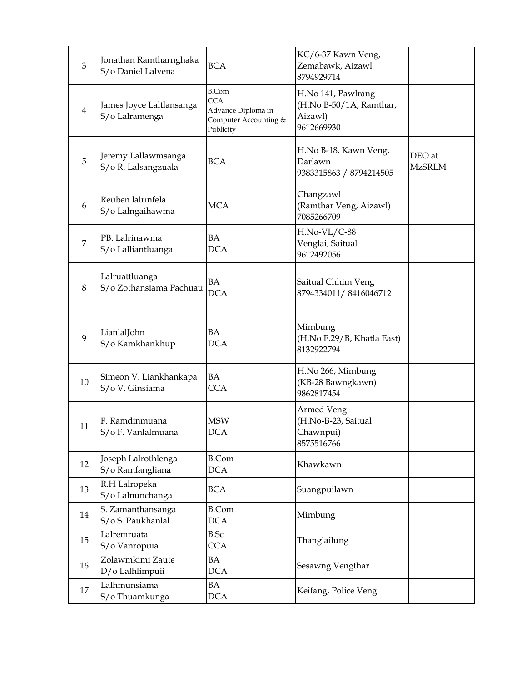| 3              | Jonathan Ramtharnghaka<br>S/o Daniel Lalvena | <b>BCA</b>                                                                             | KC/6-37 Kawn Veng,<br>Zemabawk, Aizawl<br>8794929714                   |                         |
|----------------|----------------------------------------------|----------------------------------------------------------------------------------------|------------------------------------------------------------------------|-------------------------|
| $\overline{4}$ | James Joyce Laltlansanga<br>S/o Lalramenga   | <b>B.Com</b><br><b>CCA</b><br>Advance Diploma in<br>Computer Accounting &<br>Publicity | H.No 141, Pawlrang<br>(H.No B-50/1A, Ramthar,<br>Aizawl)<br>9612669930 |                         |
| 5              | Jeremy Lallawmsanga<br>S/o R. Lalsangzuala   | <b>BCA</b>                                                                             | H.No B-18, Kawn Veng,<br>Darlawn<br>9383315863 / 8794214505            | DEO at<br><b>MzSRLM</b> |
| 6              | Reuben lalrinfela<br>S/o Lalngaihawma        | <b>MCA</b>                                                                             | Changzawl<br>(Ramthar Veng, Aizawl)<br>7085266709                      |                         |
| $\overline{7}$ | PB. Lalrinawma<br>S/o Lalliantluanga         | <b>BA</b><br><b>DCA</b>                                                                | H.No-VL/C-88<br>Venglai, Saitual<br>9612492056                         |                         |
| 8              | Lalruattluanga<br>S/o Zothansiama Pachuau    | BA<br><b>DCA</b>                                                                       | Saitual Chhim Veng<br>8794334011/8416046712                            |                         |
| 9              | LianlalJohn<br>S/o Kamkhankhup               | BA<br><b>DCA</b>                                                                       | Mimbung<br>(H.No F.29/B, Khatla East)<br>8132922794                    |                         |
| 10             | Simeon V. Liankhankapa<br>S/o V. Ginsiama    | <b>BA</b><br><b>CCA</b>                                                                | H.No 266, Mimbung<br>(KB-28 Bawngkawn)<br>9862817454                   |                         |
| 11             | F. Ramdinmuana<br>S/o F. Vanlalmuana         | <b>MSW</b><br><b>DCA</b>                                                               | <b>Armed Veng</b><br>(H.No-B-23, Saitual<br>Chawnpui)<br>8575516766    |                         |
| 12             | Joseph Lalrothlenga<br>S/o Ramfangliana      | <b>B.Com</b><br><b>DCA</b>                                                             | Khawkawn                                                               |                         |
| 13             | R.H Lalropeka<br>S/o Lalnunchanga            | <b>BCA</b>                                                                             | Suangpuilawn                                                           |                         |
| 14             | S. Zamanthansanga<br>S/o S. Paukhanlal       | <b>B.Com</b><br><b>DCA</b>                                                             | Mimbung                                                                |                         |
| 15             | Lalremruata<br>S/o Vanropuia                 | <b>B.Sc</b><br><b>CCA</b>                                                              | Thanglailung                                                           |                         |
| 16             | Zolawmkimi Zaute<br>D/o Lalhlimpuii          | BA<br><b>DCA</b>                                                                       | Sesawng Vengthar                                                       |                         |
| 17             | Lalhmunsiama<br>S/o Thuamkunga               | BA<br><b>DCA</b>                                                                       | Keifang, Police Veng                                                   |                         |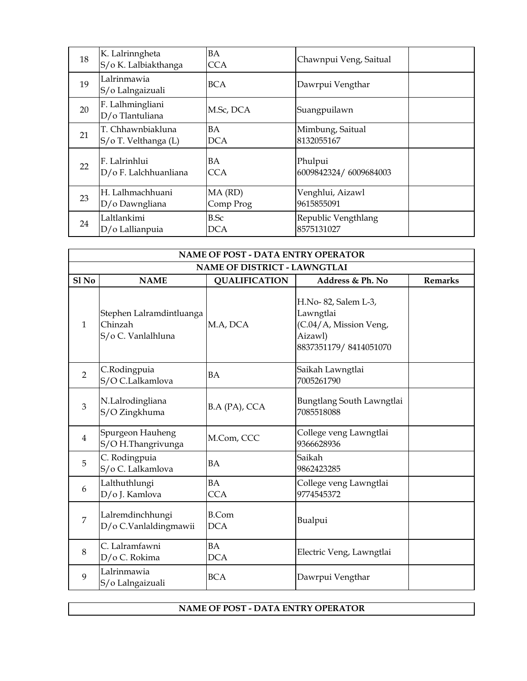| 18 | K. Lalrinngheta<br>S/o K. Lalbiakthanga   | <b>BA</b><br><b>CCA</b> | Chawnpui Veng, Saitual            |  |
|----|-------------------------------------------|-------------------------|-----------------------------------|--|
| 19 | Lalrinmawia<br>S/o Lalngaizuali           | <b>BCA</b>              | Dawrpui Vengthar                  |  |
| 20 | F. Lalhmingliani<br>D/o Tlantuliana       | M.Sc, DCA               | Suangpuilawn                      |  |
| 21 | T. Chhawnbiakluna<br>S/o T. Velthanga (L) | <b>BA</b><br><b>DCA</b> | Mimbung, Saitual<br>8132055167    |  |
| 22 | F. Lalrinhlui<br>D/o F. Lalchhuanliana    | BA<br>CCA               | Phulpui<br>6009842324/6009684003  |  |
| 23 | H. Lalhmachhuani<br>D/o Dawngliana        | MA (RD)<br>Comp Prog    | Venghlui, Aizawl<br>9615855091    |  |
| 24 | Laltlankimi<br>D/o Lallianpuia            | B.Sc<br><b>DCA</b>      | Republic Vengthlang<br>8575131027 |  |

| <b>NAME OF POST - DATA ENTRY OPERATOR</b> |                                                           |                            |                                                                                                |                |  |
|-------------------------------------------|-----------------------------------------------------------|----------------------------|------------------------------------------------------------------------------------------------|----------------|--|
| <b>NAME OF DISTRICT - LAWNGTLAI</b>       |                                                           |                            |                                                                                                |                |  |
| $SI$ No                                   | <b>NAME</b>                                               | <b>QUALIFICATION</b>       | Address & Ph. No                                                                               | <b>Remarks</b> |  |
| $\mathbf{1}$                              | Stephen Lalramdintluanga<br>Chinzah<br>S/o C. Vanlalhluna | M.A, DCA                   | H.No-82, Salem L-3,<br>Lawngtlai<br>(C.04/A, Mission Veng,<br>Aizawl)<br>8837351179/8414051070 |                |  |
| $\overline{2}$                            | C.Rodingpuia<br>S/O C.Lalkamlova                          | BA                         | Saikah Lawngtlai<br>7005261790                                                                 |                |  |
| 3                                         | N.Lalrodingliana<br>S/O Zingkhuma                         | B.A (PA), CCA              | Bungtlang South Lawngtlai<br>7085518088                                                        |                |  |
| $\overline{4}$                            | Spurgeon Hauheng<br>S/OH.Thangrivunga                     | M.Com, CCC                 | College veng Lawngtlai<br>9366628936                                                           |                |  |
| 5                                         | C. Rodingpuia<br>S/o C. Lalkamlova                        | <b>BA</b>                  | Saikah<br>9862423285                                                                           |                |  |
| 6                                         | Lalthuthlungi<br>D/o J. Kamlova                           | BA<br><b>CCA</b>           | College veng Lawngtlai<br>9774545372                                                           |                |  |
| $\overline{7}$                            | Lalremdinchhungi<br>D/o C.Vanlaldingmawii                 | <b>B.Com</b><br><b>DCA</b> | Bualpui                                                                                        |                |  |
| 8                                         | C. Lalramfawni<br>D/o C. Rokima                           | BA<br><b>DCA</b>           | Electric Veng, Lawngtlai                                                                       |                |  |
| 9                                         | Lalrinmawia<br>S/o Lalngaizuali                           | <b>BCA</b>                 | Dawrpui Vengthar                                                                               |                |  |

## **NAME OF POST - DATA ENTRY OPERATOR**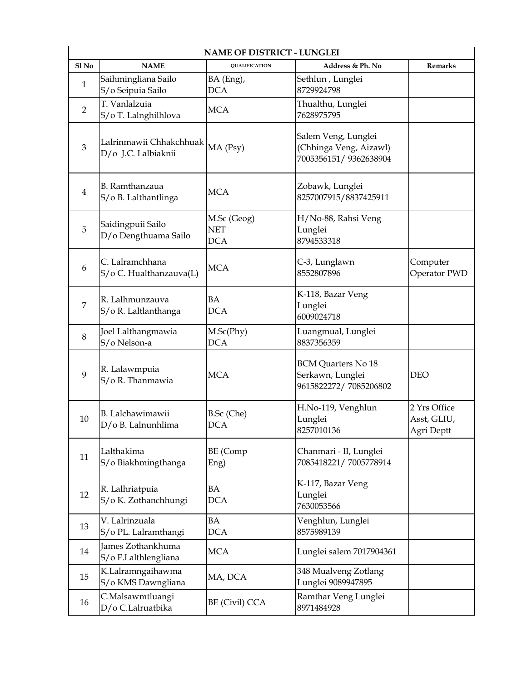| <b>NAME OF DISTRICT - LUNGLEI</b> |                                                |                                         |                                                                        |                                           |
|-----------------------------------|------------------------------------------------|-----------------------------------------|------------------------------------------------------------------------|-------------------------------------------|
| $S1$ No                           | <b>NAME</b>                                    | <b>QUALIFICATION</b>                    | Address & Ph. No                                                       | <b>Remarks</b>                            |
| 1                                 | Saihmingliana Sailo<br>S/o Seipuia Sailo       | BA (Eng),<br><b>DCA</b>                 | Sethlun, Lunglei<br>8729924798                                         |                                           |
| $\overline{2}$                    | T. Vanlalzuia<br>S/o T. Lalnghilhlova          | <b>MCA</b>                              | Thualthu, Lunglei<br>7628975795                                        |                                           |
| 3                                 | Lalrinmawii Chhakchhuak<br>D/o J.C. Lalbiaknii | MA (Psy)                                | Salem Veng, Lunglei<br>(Chhinga Veng, Aizawl)<br>7005356151/9362638904 |                                           |
| $\overline{4}$                    | B. Ramthanzaua<br>S/o B. Lalthantlinga         | <b>MCA</b>                              | Zobawk, Lunglei<br>8257007915/8837425911                               |                                           |
| 5                                 | Saidingpuii Sailo<br>D/o Dengthuama Sailo      | M.Sc (Geog)<br><b>NET</b><br><b>DCA</b> | H/No-88, Rahsi Veng<br>Lunglei<br>8794533318                           |                                           |
| 6                                 | C. Lalramchhana<br>S/o C. Hualthanzauva(L)     | <b>MCA</b>                              | C-3, Lunglawn<br>8552807896                                            | Computer<br>Operator PWD                  |
| 7                                 | R. Lalhmunzauva<br>S/o R. Laltlanthanga        | <b>BA</b><br><b>DCA</b>                 | K-118, Bazar Veng<br>Lunglei<br>6009024718                             |                                           |
| 8                                 | Joel Lalthangmawia<br>S/o Nelson-a             | M.Sc(Phy)<br><b>DCA</b>                 | Luangmual, Lunglei<br>8837356359                                       |                                           |
| 9                                 | R. Lalawmpuia<br>S/o R. Thanmawia              | <b>MCA</b>                              | <b>BCM Quarters No 18</b><br>Serkawn, Lunglei<br>9615822272/7085206802 | <b>DEO</b>                                |
| 10                                | B. Lalchawimawii<br>D/o B. Lalnunhlima         | B.Sc (Che)<br><b>DCA</b>                | H.No-119, Venghlun<br>Lunglei<br>8257010136                            | 2 Yrs Office<br>Asst, GLIU,<br>Agri Deptt |
| 11                                | Lalthakima<br>S/o Biakhmingthanga              | BE (Comp<br>Eng)                        | Chanmari - II, Lunglei<br>7085418221/7005778914                        |                                           |
| 12                                | R. Lalhriatpuia<br>S/o K. Zothanchhungi        | <b>BA</b><br><b>DCA</b>                 | K-117, Bazar Veng<br>Lunglei<br>7630053566                             |                                           |
| 13                                | V. Lalrinzuala<br>S/o PL. Lalramthangi         | <b>BA</b><br><b>DCA</b>                 | Venghlun, Lunglei<br>8575989139                                        |                                           |
| 14                                | James Zothankhuma<br>S/o F.Lalthlengliana      | <b>MCA</b>                              | Lunglei salem 7017904361                                               |                                           |
| 15                                | K.Lalramngaihawma<br>S/o KMS Dawngliana        | MA, DCA                                 | 348 Mualveng Zotlang<br>Lunglei 9089947895                             |                                           |
| 16                                | C.Malsawmtluangi<br>D/o C.Lalruatbika          | BE (Civil) CCA                          | Ramthar Veng Lunglei<br>8971484928                                     |                                           |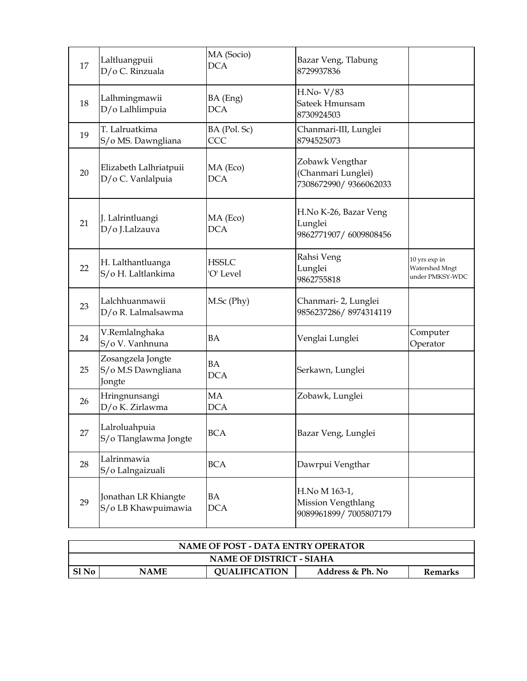| 17 | Laltluangpuii<br>D/o C. Rinzuala                  | MA (Socio)<br><b>DCA</b>  | Bazar Veng, Tlabung<br>8729937836                              |                                                    |
|----|---------------------------------------------------|---------------------------|----------------------------------------------------------------|----------------------------------------------------|
| 18 | Lalhmingmawii<br>D/o Lalhlimpuia                  | BA (Eng)<br><b>DCA</b>    | H.No-V/83<br>Sateek Hmunsam<br>8730924503                      |                                                    |
| 19 | T. Lalruatkima<br>S/o MS. Dawngliana              | BA (Pol. Sc)<br>CCC       | Chanmari-III, Lunglei<br>8794525073                            |                                                    |
| 20 | Elizabeth Lalhriatpuii<br>D/o C. Vanlalpuia       | MA (Eco)<br><b>DCA</b>    | Zobawk Vengthar<br>(Chanmari Lunglei)<br>7308672990/9366062033 |                                                    |
| 21 | J. Lalrintluangi<br>D/o J.Lalzauva                | MA (Eco)<br><b>DCA</b>    | H.No K-26, Bazar Veng<br>Lunglei<br>9862771907/6009808456      |                                                    |
| 22 | H. Lalthantluanga<br>S/o H. Laltlankima           | <b>HSSLC</b><br>'O' Level | Rahsi Veng<br>Lunglei<br>9862755818                            | 10 yrs exp in<br>Watershed Mngt<br>under PMKSY-WDC |
| 23 | Lalchhuanmawii<br>D/o R. Lalmalsawma              | M.Sc (Phy)                | Chanmari- 2, Lunglei<br>9856237286/8974314119                  |                                                    |
| 24 | V.Remlalnghaka<br>S/o V. Vanhnuna                 | <b>BA</b>                 | Venglai Lunglei                                                | Computer<br>Operator                               |
| 25 | Zosangzela Jongte<br>S/o M.S Dawngliana<br>Jongte | <b>BA</b><br><b>DCA</b>   | Serkawn, Lunglei                                               |                                                    |
| 26 | Hringnunsangi<br>D/o K. Zirlawma                  | MA<br><b>DCA</b>          | Zobawk, Lunglei                                                |                                                    |
| 27 | Lalroluahpuia<br>S/o Tlanglawma Jongte            | <b>BCA</b>                | Bazar Veng, Lunglei                                            |                                                    |
| 28 | Lalrinmawia<br>S/o Lalngaizuali                   | <b>BCA</b>                | Dawrpui Vengthar                                               |                                                    |
| 29 | Jonathan LR Khiangte<br>S/o LB Khawpuimawia       | BA<br><b>DCA</b>          | H.No M 163-1,<br>Mission Vengthlang<br>9089961899/7005807179   |                                                    |

| <b>NAME OF POST - DATA ENTRY OPERATOR</b> |                                                                    |  |  |  |  |  |
|-------------------------------------------|--------------------------------------------------------------------|--|--|--|--|--|
| <b>NAME OF DISTRICT - SIAHA</b>           |                                                                    |  |  |  |  |  |
| Sl No                                     | <b>QUALIFICATION</b><br><b>NAME</b><br>Address & Ph. No<br>Remarks |  |  |  |  |  |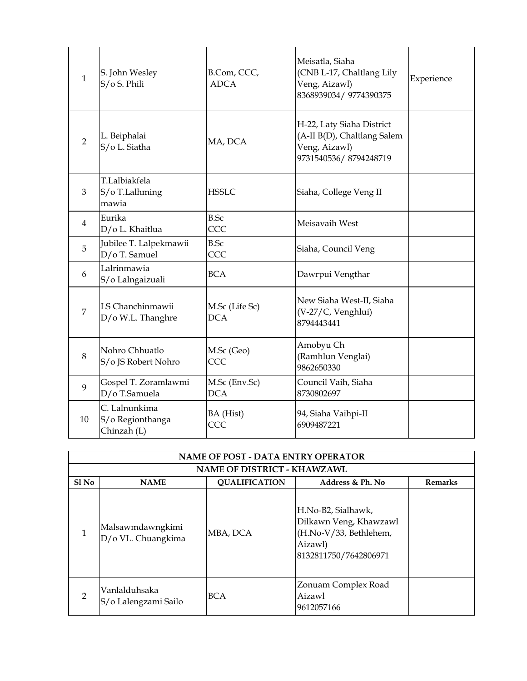| $\mathbf{1}$   | S. John Wesley<br>S/o S. Phili                   | B.Com, CCC,<br><b>ADCA</b>   | Meisatla, Siaha<br>(CNB L-17, Chaltlang Lily<br>Veng, Aizawl)<br>8368939034/9774390375             | Experience |
|----------------|--------------------------------------------------|------------------------------|----------------------------------------------------------------------------------------------------|------------|
| $\overline{2}$ | L. Beiphalai<br>S/o L. Siatha                    | MA, DCA                      | H-22, Laty Siaha District<br>(A-II B(D), Chaltlang Salem<br>Veng, Aizawl)<br>9731540536/8794248719 |            |
| 3              | T.Lalbiakfela<br>S/o T.Lalhming<br>mawia         | <b>HSSLC</b>                 | Siaha, College Veng II                                                                             |            |
| $\overline{4}$ | Eurika<br>D/o L. Khaitlua                        | <b>B.Sc</b><br>CCC           | Meisavaih West                                                                                     |            |
| 5              | Jubilee T. Lalpekmawii<br>D/o T. Samuel          | <b>B.Sc</b><br>CCC           | Siaha, Council Veng                                                                                |            |
| 6              | Lalrinmawia<br>S/o Lalngaizuali                  | <b>BCA</b>                   | Dawrpui Vengthar                                                                                   |            |
| $\overline{7}$ | LS Chanchinmawii<br>D/o W.L. Thanghre            | M.Sc (Life Sc)<br><b>DCA</b> | New Siaha West-II, Siaha<br>(V-27/C, Venghlui)<br>8794443441                                       |            |
| 8              | Nohro Chhuatlo<br>S/o JS Robert Nohro            | M.Sc (Geo)<br>CCC            | Amobyu Ch<br>(Ramhlun Venglai)<br>9862650330                                                       |            |
| 9              | Gospel T. Zoramlawmi<br>D/o T.Samuela            | M.Sc (Env.Sc)<br><b>DCA</b>  | Council Vaih, Siaha<br>8730802697                                                                  |            |
| 10             | C. Lalnunkima<br>S/o Regionthanga<br>Chinzah (L) | BA (Hist)<br>CCC             | 94, Siaha Vaihpi-II<br>6909487221                                                                  |            |

|                  | <b>NAME OF POST - DATA ENTRY OPERATOR</b> |                                    |                                                                                                            |                |  |  |
|------------------|-------------------------------------------|------------------------------------|------------------------------------------------------------------------------------------------------------|----------------|--|--|
|                  |                                           | <b>NAME OF DISTRICT - KHAWZAWL</b> |                                                                                                            |                |  |  |
| Sl <sub>No</sub> | <b>NAME</b>                               | <b>QUALIFICATION</b>               | Address & Ph. No                                                                                           | <b>Remarks</b> |  |  |
| 1                | Malsawmdawngkimi<br>D/o VL. Chuangkima    | MBA, DCA                           | H.No-B2, Sialhawk,<br>Dilkawn Veng, Khawzawl<br>(H.No-V/33, Bethlehem,<br>Aizawl)<br>8132811750/7642806971 |                |  |  |
| $\mathcal{P}$    | Vanlalduhsaka<br>S/o Lalengzami Sailo     | BCA                                | Zonuam Complex Road<br>Aizawl<br>9612057166                                                                |                |  |  |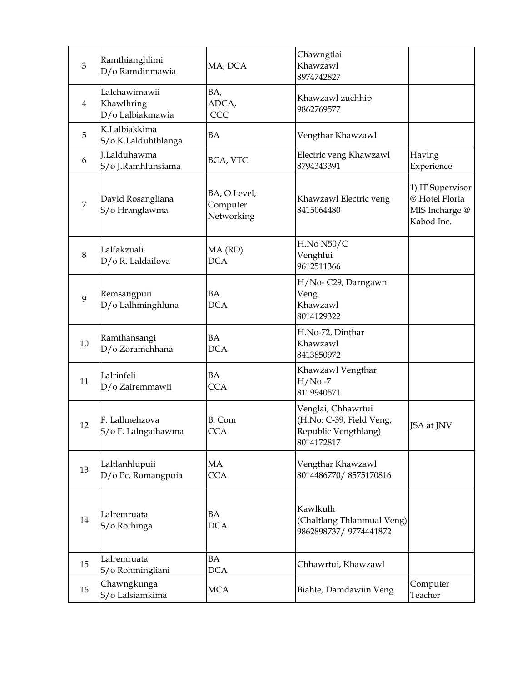| 3              | Ramthianghlimi<br>D/o Ramdinmawia               | MA, DCA                                | Chawngtlai<br>Khawzawl<br>8974742827                                                 |                                                                    |
|----------------|-------------------------------------------------|----------------------------------------|--------------------------------------------------------------------------------------|--------------------------------------------------------------------|
| $\overline{4}$ | Lalchawimawii<br>Khawlhring<br>D/o Lalbiakmawia | BA,<br>ADCA,<br>CCC                    | Khawzawl zuchhip<br>9862769577                                                       |                                                                    |
| 5              | K.Lalbiakkima<br>S/o K.Lalduhthlanga            | <b>BA</b>                              | Vengthar Khawzawl                                                                    |                                                                    |
| 6              | J.Lalduhawma<br>S/o J.Ramhlunsiama              | BCA, VTC                               | Electric veng Khawzawl<br>8794343391                                                 | Having<br>Experience                                               |
| $\overline{7}$ | David Rosangliana<br>S/o Hranglawma             | BA, O Level,<br>Computer<br>Networking | Khawzawl Electric veng<br>8415064480                                                 | 1) IT Supervisor<br>@ Hotel Floria<br>MIS Incharge @<br>Kabod Inc. |
| 8              | Lalfakzuali<br>D/o R. Laldailova                | MA (RD)<br><b>DCA</b>                  | H.No N50/C<br>Venghlui<br>9612511366                                                 |                                                                    |
| 9              | Remsangpuii<br>D/o Lalhminghluna                | <b>BA</b><br><b>DCA</b>                | H/No-C29, Darngawn<br>Veng<br>Khawzawl<br>8014129322                                 |                                                                    |
| 10             | Ramthansangi<br>D/o Zoramchhana                 | <b>BA</b><br><b>DCA</b>                | H.No-72, Dinthar<br>Khawzawl<br>8413850972                                           |                                                                    |
| 11             | Lalrinfeli<br>D/o Zairemmawii                   | <b>BA</b><br><b>CCA</b>                | Khawzawl Vengthar<br>$H/No -7$<br>8119940571                                         |                                                                    |
| 12             | F. Lalhnehzova<br>S/o F. Lalngaihawma           | B. Com<br><b>CCA</b>                   | Venglai, Chhawrtui<br>(H.No: C-39, Field Veng,<br>Republic Vengthlang)<br>8014172817 | JSA at JNV                                                         |
| 13             | Laltlanhlupuii<br>D/o Pc. Romangpuia            | MA<br><b>CCA</b>                       | Vengthar Khawzawl<br>8014486770/8575170816                                           |                                                                    |
| 14             | Lalremruata<br>S/o Rothinga                     | BA<br><b>DCA</b>                       | Kawlkulh<br>(Chaltlang Thlanmual Veng)<br>9862898737/9774441872                      |                                                                    |
| 15             | Lalremruata<br>S/o Rohmingliani                 | <b>BA</b><br><b>DCA</b>                | Chhawrtui, Khawzawl                                                                  |                                                                    |
| 16             | Chawngkunga<br>S/o Lalsiamkima                  | <b>MCA</b>                             | Biahte, Damdawiin Veng                                                               | Computer<br>Teacher                                                |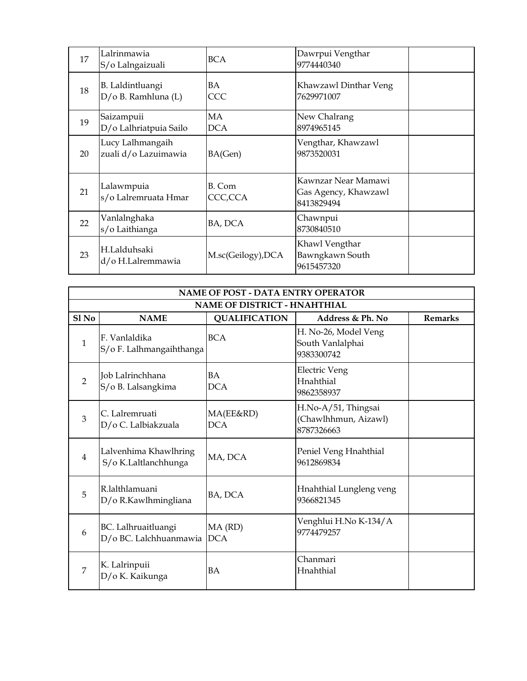| 17 | Lalrinmawia<br>S/o Lalngaizuali           | <b>BCA</b>         | Dawrpui Vengthar<br>9774440340                            |  |
|----|-------------------------------------------|--------------------|-----------------------------------------------------------|--|
| 18 | B. Laldintluangi<br>$D/O$ B. Ramhluna (L) | BA<br><b>CCC</b>   | Khawzawl Dinthar Veng<br>7629971007                       |  |
| 19 | Saizampuii<br>D/o Lalhriatpuia Sailo      | MA<br><b>DCA</b>   | New Chalrang<br>8974965145                                |  |
| 20 | Lucy Lalhmangaih<br>zuali d/o Lazuimawia  | BA(Gen)            | Vengthar, Khawzawl<br>9873520031                          |  |
| 21 | Lalawmpuia<br>s/o Lalremruata Hmar        | B. Com<br>CCC,CCA  | Kawnzar Near Mamawi<br>Gas Agency, Khawzawl<br>8413829494 |  |
| 22 | Vanlalnghaka<br>s/o Laithianga            | BA, DCA            | Chawnpui<br>8730840510                                    |  |
| 23 | H.Lalduhsaki<br>d/o H.Lalremmawia         | M.sc(Geilogy), DCA | Khawl Vengthar<br>Bawngkawn South<br>9615457320           |  |

| NAME OF POST - DATA ENTRY OPERATOR |                                                   |                         |                                                           |                |  |  |
|------------------------------------|---------------------------------------------------|-------------------------|-----------------------------------------------------------|----------------|--|--|
|                                    | <b>NAME OF DISTRICT - HNAHTHIAL</b>               |                         |                                                           |                |  |  |
| $S1$ No                            | <b>NAME</b>                                       | <b>QUALIFICATION</b>    | Address & Ph. No                                          | <b>Remarks</b> |  |  |
| 1                                  | F. Vanlaldika<br>S/o F. Lalhmangaihthanga         | <b>BCA</b>              | H. No-26, Model Veng<br>South Vanlalphai<br>9383300742    |                |  |  |
| $\overline{2}$                     | Job Lalrinchhana<br>S/o B. Lalsangkima            | BA<br><b>DCA</b>        | <b>Electric Veng</b><br>Hnahthial<br>9862358937           |                |  |  |
| $\overline{3}$                     | C. Lalremruati<br>D/o C. Lalbiakzuala             | MA(EE&RD)<br><b>DCA</b> | H.No-A/51, Thingsai<br>(Chawlhhmun, Aizawl)<br>8787326663 |                |  |  |
| $\overline{4}$                     | Lalvenhima Khawlhring<br>S/o K.Laltlanchhunga     | MA, DCA                 | Peniel Veng Hnahthial<br>9612869834                       |                |  |  |
| 5                                  | R.lalthlamuani<br>D/o R.Kawlhmingliana            | BA, DCA                 | Hnahthial Lungleng veng<br>9366821345                     |                |  |  |
| 6                                  | BC. Lalhruaitluangi<br>D/o BC. Lalchhuanmawia DCA | MA (RD)                 | Venghlui H.No K-134/A<br>9774479257                       |                |  |  |
| 7                                  | K. Lalrinpuii<br>D/o K. Kaikunga                  | BA                      | Chanmari<br>Hnahthial                                     |                |  |  |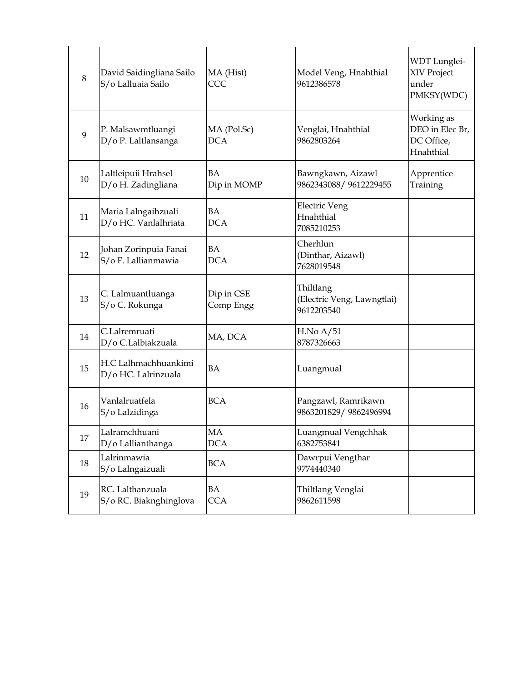| 8  | David Saidingliana Sailo<br>S/o Lalluaia Sailo | MA (Hist)<br>CCC          | Model Veng, Hnahthial<br>9612386578                   | WDT Lunglei-<br>XIV Project<br>under<br>PMKSY(WDC)       |
|----|------------------------------------------------|---------------------------|-------------------------------------------------------|----------------------------------------------------------|
| 9  | P. Malsawmtluangi<br>D/o P. Laltlansanga       | MA (Pol.Sc)<br><b>DCA</b> | Venglai, Hnahthial<br>9862803264                      | Working as<br>DEO in Elec Br,<br>DC Office,<br>Hnahthial |
| 10 | Laltleipuii Hrahsel<br>D/o H. Zadingliana      | <b>BA</b><br>Dip in MOMP  | Bawngkawn, Aizawl<br>9862343088/9612229455            | Apprentice<br>Training                                   |
| 11 | Maria Lalngaihzuali<br>D/o HC. Vanlalhriata    | BA<br><b>DCA</b>          | <b>Electric Veng</b><br>Hnahthial<br>7085210253       |                                                          |
| 12 | Johan Zorinpuia Fanai<br>S/o F. Lallianmawia   | <b>BA</b><br><b>DCA</b>   | Cherhlun<br>(Dinthar, Aizawl)<br>7628019548           |                                                          |
| 13 | C. Lalmuantluanga<br>S/o C. Rokunga            | Dip in CSE<br>Comp Engg   | Thiltlang<br>(Electric Veng, Lawngtlai)<br>9612203540 |                                                          |
| 14 | C.Lalremruati<br>D/o C.Lalbiakzuala            | MA, DCA                   | H.No A/51<br>8787326663                               |                                                          |
| 15 | H.C Lalhmachhuankimi<br>D/o HC. Lalrinzuala    | <b>BA</b>                 | Luangmual                                             |                                                          |
| 16 | Vanlalruatfela<br>S/o Lalzidinga               | <b>BCA</b>                | Pangzawl, Ramrikawn<br>9863201829/9862496994          |                                                          |
| 17 | Lalramchhuani<br>D/o Lallianthanga             | MA<br><b>DCA</b>          | Luangmual Vengchhak<br>6382753841                     |                                                          |
| 18 | Lalrinmawia<br>S/o Lalngaizuali                | <b>BCA</b>                | Dawrpui Vengthar<br>9774440340                        |                                                          |
| 19 | RC. Lalthanzuala<br>S/o RC. Biaknghinglova     | BA<br><b>CCA</b>          | Thiltlang Venglai<br>9862611598                       |                                                          |